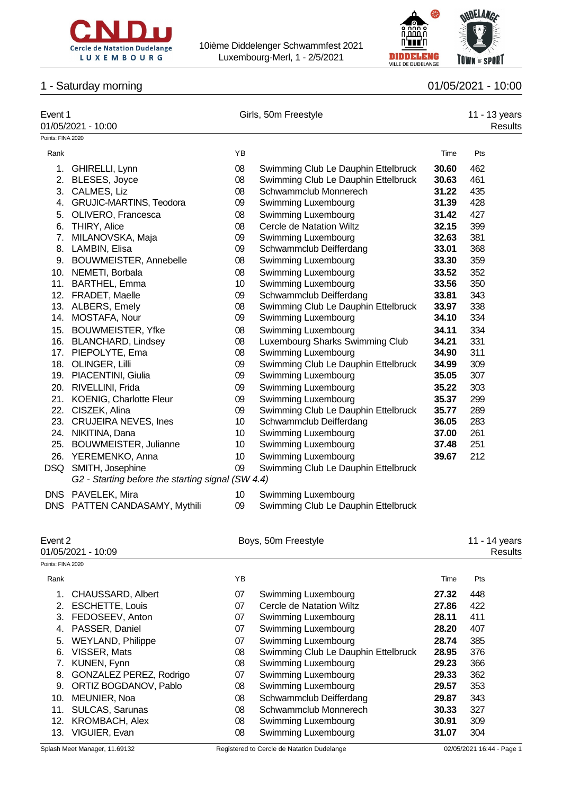



# 1 - Saturday morning 01/05/2021 - 10:00

| Event 1           | 01/05/2021 - 10:00                                |    | Girls, 50m Freestyle                | 11 - 13 years<br><b>Results</b> |     |
|-------------------|---------------------------------------------------|----|-------------------------------------|---------------------------------|-----|
| Points: FINA 2020 |                                                   |    |                                     |                                 |     |
| Rank              |                                                   | YB |                                     | Time                            | Pts |
| 1.                | GHIRELLI, Lynn                                    | 08 | Swimming Club Le Dauphin Ettelbruck | 30.60                           | 462 |
| 2.                | BLESES, Joyce                                     | 08 | Swimming Club Le Dauphin Ettelbruck | 30.63                           | 461 |
| 3.                | CALMES, Liz                                       | 08 | Schwammclub Monnerech               | 31.22                           | 435 |
|                   | 4. GRUJIC-MARTINS, Teodora                        | 09 | Swimming Luxembourg                 | 31.39                           | 428 |
|                   | 5. OLIVERO, Francesca                             | 08 | Swimming Luxembourg                 | 31.42                           | 427 |
|                   | 6. THIRY, Alice                                   | 08 | Cercle de Natation Wiltz            | 32.15                           | 399 |
|                   | 7. MILANOVSKA, Maja                               | 09 | Swimming Luxembourg                 | 32.63                           | 381 |
|                   | 8. LAMBIN, Elisa                                  | 09 | Schwammclub Deifferdang             | 33.01                           | 368 |
|                   | 9. BOUWMEISTER, Annebelle                         | 08 | Swimming Luxembourg                 | 33.30                           | 359 |
|                   | 10. NEMETI, Borbala                               | 08 | Swimming Luxembourg                 | 33.52                           | 352 |
|                   | 11. BARTHEL, Emma                                 | 10 | Swimming Luxembourg                 | 33.56                           | 350 |
|                   | 12. FRADET, Maelle                                | 09 | Schwammclub Deifferdang             | 33.81                           | 343 |
|                   | 13. ALBERS, Emely                                 | 08 | Swimming Club Le Dauphin Ettelbruck | 33.97                           | 338 |
|                   | 14. MOSTAFA, Nour                                 | 09 | Swimming Luxembourg                 | 34.10                           | 334 |
|                   | 15. BOUWMEISTER, Yfke                             | 08 | Swimming Luxembourg                 | 34.11                           | 334 |
|                   | 16. BLANCHARD, Lindsey                            | 08 | Luxembourg Sharks Swimming Club     | 34.21                           | 331 |
|                   | 17. PIEPOLYTE, Ema                                | 08 | Swimming Luxembourg                 | 34.90                           | 311 |
|                   | 18. OLINGER, Lilli                                | 09 | Swimming Club Le Dauphin Ettelbruck | 34.99                           | 309 |
|                   | 19. PIACENTINI, Giulia                            | 09 | Swimming Luxembourg                 | 35.05                           | 307 |
|                   | 20. RIVELLINI, Frida                              | 09 | Swimming Luxembourg                 | 35.22                           | 303 |
|                   | 21. KOENIG, Charlotte Fleur                       | 09 | Swimming Luxembourg                 | 35.37                           | 299 |
|                   | 22. CISZEK, Alina                                 | 09 | Swimming Club Le Dauphin Ettelbruck | 35.77                           | 289 |
|                   | 23. CRUJEIRA NEVES, Ines                          | 10 | Schwammclub Deifferdang             | 36.05                           | 283 |
|                   | 24. NIKITINA, Dana                                | 10 | Swimming Luxembourg                 | 37.00                           | 261 |
|                   | 25. BOUWMEISTER, Julianne                         | 10 | Swimming Luxembourg                 | 37.48                           | 251 |
|                   | 26. YEREMENKO, Anna                               | 10 | Swimming Luxembourg                 | 39.67                           | 212 |
|                   | DSQ SMITH, Josephine                              | 09 | Swimming Club Le Dauphin Ettelbruck |                                 |     |
|                   | G2 - Starting before the starting signal (SW 4.4) |    |                                     |                                 |     |
| <b>DNS</b>        | PAVELEK, Mira                                     | 10 | Swimming Luxembourg                 |                                 |     |

DNS PATTEN CANDASAMY, Mythili 09 Swimming Club Le Dauphin Ettelbruck

Splash Meet Manager, 11.69132 Registered to Cercle de Natation Dudelange 02/05/2021 16:44 - Page 1 Event 2 **Boys, 50m Freestyle** 11 - 14 years 01/05/2021 - 10:09 Results Points: FINA 2020 Rank Time Pts 1. CHAUSSARD, Albert 07 Swimming Luxembourg **27.32** 448 2. ESCHETTE, Louis 07 Cercle de Natation Wiltz **27.86** 422 3. FEDOSEEV, Anton 07 Swimming Luxembourg **28.11** 411 4. PASSER, Daniel 07 Swimming Luxembourg **28.20** 407 5. WEYLAND, Philippe 07 Swimming Luxembourg **28.74** 385 6. VISSER, Mats 08 Swimming Club Le Dauphin Ettelbruck **28.95** 376 7. KUNEN, Fynn 08 Swimming Luxembourg **29.23** 366 8. GONZALEZ PEREZ, Rodrigo 07 Swimming Luxembourg **29.33** 362 9. ORTIZ BOGDANOV, Pablo 08 Swimming Luxembourg **29.57** 353 10. MEUNIER, Noa 08 Schwammclub Deifferdang **29.87** 343 11. SULCAS, Sarunas 08 Schwammclub Monnerech **30.33** 327 12. KROMBACH, Alex 08 Swimming Luxembourg **30.91** 309 13. VIGUIER, Evan 08 Swimming Luxembourg **31.07** 304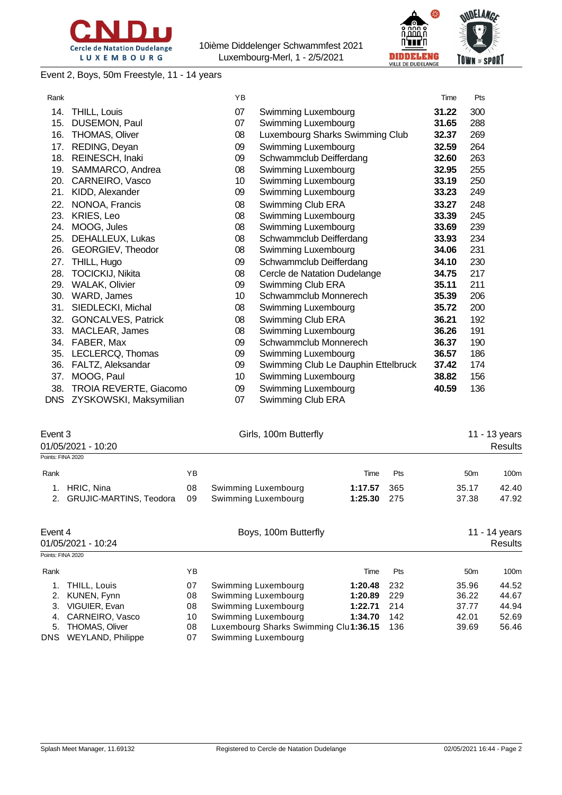



Event 2, Boys, 50m Freestyle, 11 - 14 years

| Rank |                           | YB |                                     | Time  | Pts |
|------|---------------------------|----|-------------------------------------|-------|-----|
| 14.  | THILL, Louis              | 07 | Swimming Luxembourg                 | 31.22 | 300 |
| 15.  | DUSEMON, Paul             | 07 | <b>Swimming Luxembourg</b>          | 31.65 | 288 |
| 16.  | <b>THOMAS, Oliver</b>     | 08 | Luxembourg Sharks Swimming Club     | 32.37 | 269 |
| 17.  | REDING, Deyan             | 09 | Swimming Luxembourg                 | 32.59 | 264 |
| 18.  | REINESCH, Inaki           | 09 | Schwammclub Deifferdang             | 32.60 | 263 |
| 19.  | SAMMARCO, Andrea          | 08 | Swimming Luxembourg                 | 32.95 | 255 |
| 20.  | CARNEIRO, Vasco           | 10 | Swimming Luxembourg                 | 33.19 | 250 |
| 21.  | KIDD, Alexander           | 09 | Swimming Luxembourg                 | 33.23 | 249 |
| 22.  | NONOA, Francis            | 08 | Swimming Club ERA                   | 33.27 | 248 |
| 23.  | KRIES, Leo                | 08 | Swimming Luxembourg                 | 33.39 | 245 |
| 24.  | MOOG, Jules               | 08 | Swimming Luxembourg                 | 33.69 | 239 |
| 25.  | DEHALLEUX, Lukas          | 08 | Schwammclub Deifferdang             | 33.93 | 234 |
| 26.  | GEORGIEV, Theodor         | 08 | Swimming Luxembourg                 | 34.06 | 231 |
| 27.  | THILL, Hugo               | 09 | Schwammclub Deifferdang             | 34.10 | 230 |
| 28.  | <b>TOCICKIJ, Nikita</b>   | 08 | Cercle de Natation Dudelange        | 34.75 | 217 |
| 29.  | <b>WALAK, Olivier</b>     | 09 | Swimming Club ERA                   | 35.11 | 211 |
| 30.  | WARD, James               | 10 | Schwammclub Monnerech               | 35.39 | 206 |
| 31.  | SIEDLECKI, Michal         | 08 | Swimming Luxembourg                 | 35.72 | 200 |
| 32.  | <b>GONCALVES, Patrick</b> | 08 | Swimming Club ERA                   | 36.21 | 192 |
| 33.  | MACLEAR, James            | 08 | Swimming Luxembourg                 | 36.26 | 191 |
| 34.  | FABER, Max                | 09 | Schwammclub Monnerech               | 36.37 | 190 |
| 35.  | LECLERCQ, Thomas          | 09 | Swimming Luxembourg                 | 36.57 | 186 |
| 36.  | FALTZ, Aleksandar         | 09 | Swimming Club Le Dauphin Ettelbruck | 37.42 | 174 |
| 37.  | MOOG, Paul                | 10 | Swimming Luxembourg                 | 38.82 | 156 |
| 38.  | TROIA REVERTE, Giacomo    | 09 | Swimming Luxembourg                 | 40.59 | 136 |
| DNS. | ZYSKOWSKI, Maksymilian    | 07 | Swimming Club ERA                   |       |     |

| Event 3 | 01/05/2021 - 10:20                       |            | Girls, 100m Butterfly                      |                    |              |                 | 11 - 13 years<br>Results |
|---------|------------------------------------------|------------|--------------------------------------------|--------------------|--------------|-----------------|--------------------------|
|         | Points: FINA 2020                        |            |                                            |                    |              |                 |                          |
| Rank    |                                          | YB.        |                                            | Time               | <b>Pts</b>   | 50 <sub>m</sub> | 100m                     |
|         | HRIC, Nina<br>2. GRUJIC-MARTINS, Teodora | 08<br>- 09 | Swimming Luxembourg<br>Swimming Luxembourg | 1:17.57<br>1:25.30 | -365<br>-275 | 35.17<br>37.38  | 42.40<br>47.92           |

| Event 4           | 01/05/2021 - 10:24                     |          | Boys, 100m Butterfly                                          |         | 11 - 14 years<br>Results |                 |       |
|-------------------|----------------------------------------|----------|---------------------------------------------------------------|---------|--------------------------|-----------------|-------|
| Points: FINA 2020 |                                        |          |                                                               |         |                          |                 |       |
| Rank              |                                        | ΥB       |                                                               | Time    | <b>Pts</b>               | 50 <sub>m</sub> | 100m  |
|                   | 1. THILL, Louis                        | 07       | Swimming Luxembourg                                           | 1:20.48 | 232                      | 35.96           | 44.52 |
|                   | 2. KUNEN, Fynn                         | 08       | Swimming Luxembourg                                           | 1:20.89 | 229                      | 36.22           | 44.67 |
| 3.                | VIGUIER, Evan                          | 08       | Swimming Luxembourg                                           | 1:22.71 | 214                      | 37.77           | 44.94 |
| 4.                | CARNEIRO, Vasco                        | 10       | Swimming Luxembourg                                           | 1:34.70 | 142                      | 42.01           | 52.69 |
| <b>DNS</b>        | 5. THOMAS, Oliver<br>WEYLAND, Philippe | 08<br>07 | Luxembourg Sharks Swimming Clul1:36.15<br>Swimming Luxembourg |         | 136                      | 39.69           | 56.46 |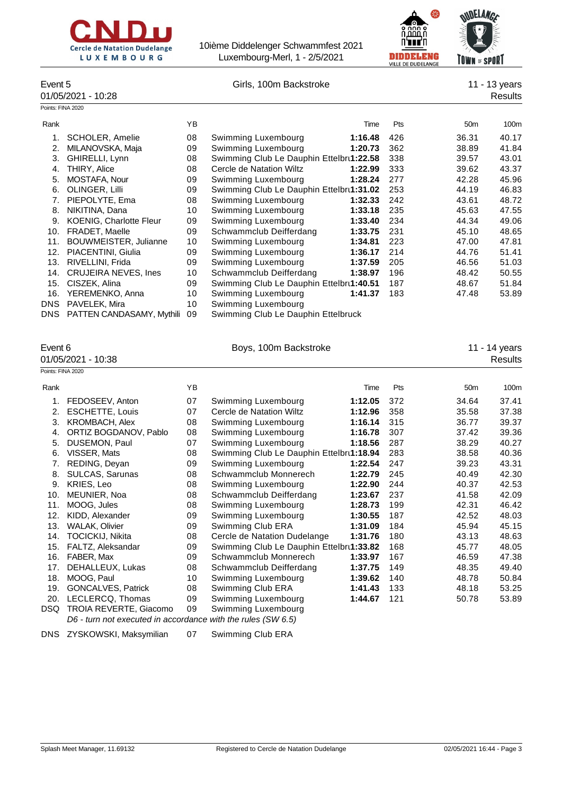

DNS PATTEN CANDASAMY, Mythili 09

10ième Diddelenger Schwammfest 2021 Luxembourg-Merl, 1 - 2/5/2021



| Event 5<br>Girls, 100m Backstroke<br>01/05/2021 - 10:28 |                                |    |                                          |         |     | 11 - 13 years<br>Results |                  |  |
|---------------------------------------------------------|--------------------------------|----|------------------------------------------|---------|-----|--------------------------|------------------|--|
| Points: FINA 2020                                       |                                |    |                                          |         |     |                          |                  |  |
| Rank                                                    |                                | YB |                                          | Time    | Pts | 50 <sub>m</sub>          | 100 <sub>m</sub> |  |
|                                                         | SCHOLER, Amelie                | 08 | Swimming Luxembourg                      | 1:16.48 | 426 | 36.31                    | 40.17            |  |
| 2.                                                      | MILANOVSKA, Maja               | 09 | Swimming Luxembourg                      | 1:20.73 | 362 | 38.89                    | 41.84            |  |
| 3.                                                      | GHIRELLI, Lynn                 | 08 | Swimming Club Le Dauphin Ettelbrt1:22.58 |         | 338 | 39.57                    | 43.01            |  |
| 4.                                                      | <b>THIRY, Alice</b>            | 08 | Cercle de Natation Wiltz                 | 1:22.99 | 333 | 39.62                    | 43.37            |  |
| 5.                                                      | MOSTAFA, Nour                  | 09 | Swimming Luxembourg                      | 1:28.24 | 277 | 42.28                    | 45.96            |  |
| 6.                                                      | OLINGER, Lilli                 | 09 | Swimming Club Le Dauphin Ettelbru1:31.02 |         | 253 | 44.19                    | 46.83            |  |
| 7.                                                      | PIEPOLYTE, Ema                 | 08 | Swimming Luxembourg                      | 1:32.33 | 242 | 43.61                    | 48.72            |  |
| 8.                                                      | NIKITINA, Dana                 | 10 | Swimming Luxembourg                      | 1:33.18 | 235 | 45.63                    | 47.55            |  |
| 9.                                                      | <b>KOENIG, Charlotte Fleur</b> | 09 | Swimming Luxembourg                      | 1:33.40 | 234 | 44.34                    | 49.06            |  |
| 10.                                                     | <b>FRADET, Maelle</b>          | 09 | Schwammclub Deifferdang                  | 1:33.75 | 231 | 45.10                    | 48.65            |  |
| 11.                                                     | <b>BOUWMEISTER, Julianne</b>   | 10 | Swimming Luxembourg                      | 1:34.81 | 223 | 47.00                    | 47.81            |  |
| 12.                                                     | PIACENTINI, Giulia             | 09 | Swimming Luxembourg                      | 1:36.17 | 214 | 44.76                    | 51.41            |  |
| 13.                                                     | RIVELLINI, Frida               | 09 | Swimming Luxembourg                      | 1:37.59 | 205 | 46.56                    | 51.03            |  |

14. CRUJEIRA NEVES, Ines 10 Schwammclub Deifferdang **1:38.97** 196 48.42 50.55 15. CISZEK, Alina **1.1 CISZEK, Alina 1.19.5 1.84** CISZER, Alina 199 Swimming Club Le Dauphin Ettelbru<sup>1</sup>:40.51 187 16. YEREMENKO, Anna 10 Swimming Luxembourg **1:41.37** 183 47.48 53.89

DNS PAVELEK, Mira 10 Swimming Luxembourg<br>DNS PATTEN CANDASAMY, Mythili 09 Swimming Club Le Dauphin Ettelbruck

| Event 6           | 01/05/2021 - 10:38                                                                     |    | Boys, 100m Backstroke                    |         |     |                 |       |  |
|-------------------|----------------------------------------------------------------------------------------|----|------------------------------------------|---------|-----|-----------------|-------|--|
| Points: FINA 2020 |                                                                                        |    |                                          |         |     |                 |       |  |
| Rank              |                                                                                        | YB |                                          | Time    | Pts | 50 <sub>m</sub> | 100m  |  |
| 1.                | FEDOSEEV, Anton                                                                        | 07 | Swimming Luxembourg                      | 1:12.05 | 372 | 34.64           | 37.41 |  |
| 2.                | <b>ESCHETTE, Louis</b>                                                                 | 07 | Cercle de Natation Wiltz                 | 1:12.96 | 358 | 35.58           | 37.38 |  |
| 3.                | <b>KROMBACH, Alex</b>                                                                  | 08 | Swimming Luxembourg                      | 1:16.14 | 315 | 36.77           | 39.37 |  |
| 4.                | ORTIZ BOGDANOV, Pablo                                                                  | 08 | Swimming Luxembourg                      | 1:16.78 | 307 | 37.42           | 39.36 |  |
| 5.                | DUSEMON, Paul                                                                          | 07 | Swimming Luxembourg                      | 1:18.56 | 287 | 38.29           | 40.27 |  |
| 6.                | VISSER, Mats                                                                           | 08 | Swimming Club Le Dauphin Ettelbrt1:18.94 |         | 283 | 38.58           | 40.36 |  |
| 7.                | REDING, Deyan                                                                          | 09 | Swimming Luxembourg                      | 1:22.54 | 247 | 39.23           | 43.31 |  |
| 8.                | SULCAS, Sarunas                                                                        | 08 | Schwammclub Monnerech                    | 1:22.79 | 245 | 40.49           | 42.30 |  |
| 9.                | KRIES, Leo                                                                             | 08 | Swimming Luxembourg                      | 1:22.90 | 244 | 40.37           | 42.53 |  |
| 10.               | MEUNIER, Noa                                                                           | 08 | Schwammclub Deifferdang                  | 1:23.67 | 237 | 41.58           | 42.09 |  |
| 11.               | MOOG, Jules                                                                            | 08 | Swimming Luxembourg                      | 1:28.73 | 199 | 42.31           | 46.42 |  |
| 12.               | KIDD, Alexander                                                                        | 09 | Swimming Luxembourg                      | 1:30.55 | 187 | 42.52           | 48.03 |  |
| 13.               | <b>WALAK, Olivier</b>                                                                  | 09 | Swimming Club ERA                        | 1:31.09 | 184 | 45.94           | 45.15 |  |
| 14.               | <b>TOCICKIJ. Nikita</b>                                                                | 08 | Cercle de Natation Dudelange             | 1:31.76 | 180 | 43.13           | 48.63 |  |
| 15.               | FALTZ, Aleksandar                                                                      | 09 | Swimming Club Le Dauphin Ettelbru1:33.82 |         | 168 | 45.77           | 48.05 |  |
| 16.               | FABER, Max                                                                             | 09 | Schwammclub Monnerech                    | 1:33.97 | 167 | 46.59           | 47.38 |  |
| 17.               | DEHALLEUX, Lukas                                                                       | 08 | Schwammclub Deifferdang                  | 1:37.75 | 149 | 48.35           | 49.40 |  |
| 18.               | MOOG, Paul                                                                             | 10 | Swimming Luxembourg                      | 1:39.62 | 140 | 48.78           | 50.84 |  |
| 19.               | <b>GONCALVES, Patrick</b>                                                              | 08 | Swimming Club ERA                        | 1:41.43 | 133 | 48.18           | 53.25 |  |
| 20.               | LECLERCQ, Thomas                                                                       | 09 | Swimming Luxembourg                      | 1:44.67 | 121 | 50.78           | 53.89 |  |
| DSQ               | TROIA REVERTE, Giacomo<br>D6 - turn not executed in accordance with the rules (SW 6.5) | 09 | Swimming Luxembourg                      |         |     |                 |       |  |
|                   |                                                                                        |    |                                          |         |     |                 |       |  |

DNS ZYSKOWSKI, Maksymilian 07 Swimming Club ERA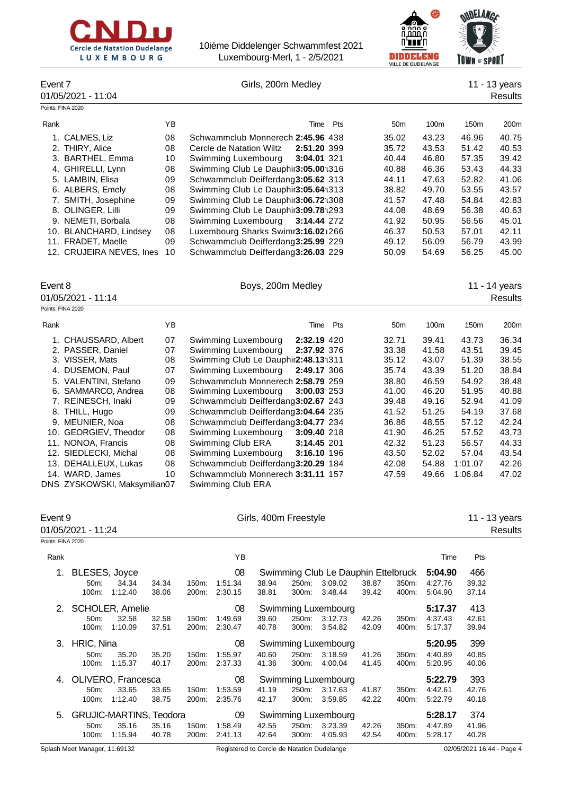| <b>Cercle de Natation Dudelange</b> |  |            |  |
|-------------------------------------|--|------------|--|
|                                     |  | LUXEMBOURG |  |



| ٠ | $or$ SPORT |  |
|---|------------|--|
|   |            |  |

| Event 7<br>Points: FINA 2020 | 01/05/2021 - 11:04                                                                                                                                                                                                                                               |                                                                      |                |                                                                                                                                                                                                                                                                                                                                                                                                                                     | Girls, 200m Medley    |                |                                           |                |                                                                                                          |                                                                                                          |                                                                                                          | 11 - 13 years<br><b>Results</b>                                                                          |
|------------------------------|------------------------------------------------------------------------------------------------------------------------------------------------------------------------------------------------------------------------------------------------------------------|----------------------------------------------------------------------|----------------|-------------------------------------------------------------------------------------------------------------------------------------------------------------------------------------------------------------------------------------------------------------------------------------------------------------------------------------------------------------------------------------------------------------------------------------|-----------------------|----------------|-------------------------------------------|----------------|----------------------------------------------------------------------------------------------------------|----------------------------------------------------------------------------------------------------------|----------------------------------------------------------------------------------------------------------|----------------------------------------------------------------------------------------------------------|
| Rank                         |                                                                                                                                                                                                                                                                  | YB                                                                   |                |                                                                                                                                                                                                                                                                                                                                                                                                                                     |                       |                | Pts<br>Time                               |                | 50 <sub>m</sub>                                                                                          | 100m                                                                                                     | 150m                                                                                                     | 200m                                                                                                     |
|                              | 1. CALMES, Liz<br>2. THIRY, Alice<br>3. BARTHEL, Emma<br>4. GHIRELLI, Lynn<br>5. LAMBIN, Elisa<br>6. ALBERS, Emely<br>7. SMITH, Josephine<br>8. OLINGER, Lilli<br>9. NEMETI, Borbala<br>10. BLANCHARD, Lindsey<br>11. FRADET, Maelle<br>12. CRUJEIRA NEVES, Ines | 08<br>08<br>10<br>08<br>09<br>08<br>09<br>09<br>08<br>08<br>09<br>10 |                | Schwammclub Monnerech 2:45.96 438<br>Cercle de Natation Wiltz<br>Swimming Luxembourg<br>Swimming Club Le Dauphir3:05.00 1316<br>Schwammclub Deifferdang3:05.62 313<br>Swimming Club Le Dauphir3:05.64 1313<br>Swimming Club Le Dauphir3:06.72 1308<br>Swimming Club Le Dauphir3:09.78 1293<br>Swimming Luxembourg<br>Luxembourg Sharks Swimr3:16.02J266<br>Schwammclub Deifferdang3:25.99 229<br>Schwammclub Deifferdang3:26.03 229 |                       |                | 2:51.20 399<br>3:04.01 321<br>3:14.44 272 |                | 35.02<br>35.72<br>40.44<br>40.88<br>44.11<br>38.82<br>41.57<br>44.08<br>41.92<br>46.37<br>49.12<br>50.09 | 43.23<br>43.53<br>46.80<br>46.36<br>47.63<br>49.70<br>47.48<br>48.69<br>50.95<br>50.53<br>56.09<br>54.69 | 46.96<br>51.42<br>57.35<br>53.43<br>52.82<br>53.55<br>54.84<br>56.38<br>56.56<br>57.01<br>56.79<br>56.25 | 40.75<br>40.53<br>39.42<br>44.33<br>41.06<br>43.57<br>42.83<br>40.63<br>45.01<br>42.11<br>43.99<br>45.00 |
| Event 8                      | 01/05/2021 - 11:14                                                                                                                                                                                                                                               |                                                                      |                |                                                                                                                                                                                                                                                                                                                                                                                                                                     | Boys, 200m Medley     |                |                                           |                |                                                                                                          |                                                                                                          |                                                                                                          | 11 - 14 years<br><b>Results</b>                                                                          |
| Points: FINA 2020            |                                                                                                                                                                                                                                                                  |                                                                      |                |                                                                                                                                                                                                                                                                                                                                                                                                                                     |                       |                |                                           |                |                                                                                                          |                                                                                                          |                                                                                                          |                                                                                                          |
| Rank                         |                                                                                                                                                                                                                                                                  | YB                                                                   |                |                                                                                                                                                                                                                                                                                                                                                                                                                                     |                       |                | Pts<br>Time                               |                | 50m                                                                                                      | 100m                                                                                                     | 150m                                                                                                     | 200m                                                                                                     |
|                              | 1. CHAUSSARD, Albert<br>2. PASSER, Daniel                                                                                                                                                                                                                        | 07<br>07                                                             |                | Swimming Luxembourg<br>Swimming Luxembourg                                                                                                                                                                                                                                                                                                                                                                                          |                       |                | 2:32.19 420<br>2:37.92 376                |                | 32.71<br>33.38                                                                                           | 39.41<br>41.58                                                                                           | 43.73<br>43.51                                                                                           | 36.34<br>39.45                                                                                           |
|                              | 3. VISSER, Mats                                                                                                                                                                                                                                                  | 08                                                                   |                | Swimming Club Le Dauphir2:48.13:1311                                                                                                                                                                                                                                                                                                                                                                                                |                       |                |                                           |                | 35.12                                                                                                    | 43.07                                                                                                    | 51.39                                                                                                    | 38.55                                                                                                    |
|                              | 4. DUSEMON, Paul                                                                                                                                                                                                                                                 | 07                                                                   |                | Swimming Luxembourg                                                                                                                                                                                                                                                                                                                                                                                                                 |                       |                | 2:49.17 306                               |                | 35.74                                                                                                    | 43.39                                                                                                    | 51.20                                                                                                    | 38.84                                                                                                    |
|                              | 5. VALENTINI, Stefano                                                                                                                                                                                                                                            | 09                                                                   |                | Schwammclub Monnerech 2:58.79 259                                                                                                                                                                                                                                                                                                                                                                                                   |                       |                |                                           |                | 38.80                                                                                                    | 46.59                                                                                                    | 54.92<br>51.95                                                                                           | 38.48                                                                                                    |
|                              | 6. SAMMARCO, Andrea<br>7. REINESCH, Inaki                                                                                                                                                                                                                        | 08<br>09                                                             |                | Swimming Luxembourg<br>Schwammclub Deifferdang3:02.67 243                                                                                                                                                                                                                                                                                                                                                                           |                       |                | 3:00.03 253                               |                | 41.00<br>39.48                                                                                           | 46.20<br>49.16                                                                                           | 52.94                                                                                                    | 40.88<br>41.09                                                                                           |
|                              | 8. THILL, Hugo                                                                                                                                                                                                                                                   | 09                                                                   |                | Schwammclub Deifferdang3:04.64 235                                                                                                                                                                                                                                                                                                                                                                                                  |                       |                |                                           |                | 41.52                                                                                                    | 51.25                                                                                                    | 54.19                                                                                                    | 37.68                                                                                                    |
|                              | 9. MEUNIER, Noa                                                                                                                                                                                                                                                  | 08                                                                   |                | Schwammclub Deifferdang3:04.77 234                                                                                                                                                                                                                                                                                                                                                                                                  |                       |                |                                           |                | 36.86                                                                                                    | 48.55                                                                                                    | 57.12                                                                                                    | 42.24                                                                                                    |
|                              | 10. GEORGIEV, Theodor                                                                                                                                                                                                                                            | 08                                                                   |                | Swimming Luxembourg                                                                                                                                                                                                                                                                                                                                                                                                                 |                       |                | 3:09.40 218                               |                | 41.90                                                                                                    | 46.25                                                                                                    | 57.52                                                                                                    | 43.73                                                                                                    |
|                              | 11. NONOA, Francis                                                                                                                                                                                                                                               | 08                                                                   |                | Swimming Club ERA                                                                                                                                                                                                                                                                                                                                                                                                                   |                       |                | 3:14.45 201                               |                | 42.32                                                                                                    | 51.23                                                                                                    | 56.57                                                                                                    | 44.33                                                                                                    |
|                              | 12. SIEDLECKI, Michal                                                                                                                                                                                                                                            | 08                                                                   |                | Swimming Luxembourg                                                                                                                                                                                                                                                                                                                                                                                                                 |                       |                | 3:16.10 196                               |                | 43.50                                                                                                    | 52.02                                                                                                    | 57.04                                                                                                    | 43.54                                                                                                    |
|                              | 13. DEHALLEUX, Lukas                                                                                                                                                                                                                                             | 08                                                                   |                | Schwammclub Deifferdang3:20.29 184                                                                                                                                                                                                                                                                                                                                                                                                  |                       |                |                                           |                | 42.08                                                                                                    | 54.88                                                                                                    | 1:01.07                                                                                                  | 42.26                                                                                                    |
|                              | 14. WARD, James<br>DNS ZYSKOWSKI, Maksymilian07                                                                                                                                                                                                                  | 10                                                                   |                | Schwammclub Monnerech 3:31.11 157<br>Swimming Club ERA                                                                                                                                                                                                                                                                                                                                                                              |                       |                |                                           |                | 47.59                                                                                                    | 49.66                                                                                                    | 1:06.84                                                                                                  | 47.02                                                                                                    |
| Event 9<br>Points: FINA 2020 | 01/05/2021 - 11:24                                                                                                                                                                                                                                               |                                                                      |                |                                                                                                                                                                                                                                                                                                                                                                                                                                     | Girls, 400m Freestyle |                |                                           |                |                                                                                                          |                                                                                                          |                                                                                                          | 11 - 13 years<br><b>Results</b>                                                                          |
| Rank                         |                                                                                                                                                                                                                                                                  |                                                                      |                | YB                                                                                                                                                                                                                                                                                                                                                                                                                                  |                       |                |                                           |                |                                                                                                          | Time                                                                                                     | Pts                                                                                                      |                                                                                                          |
| 1.                           | BLESES, Joyce                                                                                                                                                                                                                                                    |                                                                      |                | 08                                                                                                                                                                                                                                                                                                                                                                                                                                  |                       |                | Swimming Club Le Dauphin Ettelbruck       |                |                                                                                                          | 5:04.90                                                                                                  | 466                                                                                                      |                                                                                                          |
|                              | 50m:<br>34.34<br>100m:<br>1:12.40                                                                                                                                                                                                                                | 34.34<br>38.06                                                       | 150m:<br>200m: | 1:51.34<br>2:30.15                                                                                                                                                                                                                                                                                                                                                                                                                  | 38.94<br>38.81        | 250m:<br>300m: | 3:09.02<br>3:48.44                        | 38.87<br>39.42 | 350m:<br>400m:                                                                                           | 4:27.76<br>5:04.90                                                                                       | 39.32<br>37.14                                                                                           |                                                                                                          |
| 2.                           | SCHOLER, Amelie                                                                                                                                                                                                                                                  |                                                                      |                | 08                                                                                                                                                                                                                                                                                                                                                                                                                                  |                       |                | Swimming Luxembourg                       |                |                                                                                                          | 5:17.37                                                                                                  | 413                                                                                                      |                                                                                                          |
|                              | 50m:<br>32.58                                                                                                                                                                                                                                                    | 32.58                                                                | 150m:          | 1:49.69                                                                                                                                                                                                                                                                                                                                                                                                                             | 39.60                 | 250m:          | 3:12.73                                   | 42.26          | 350m:                                                                                                    | 4:37.43                                                                                                  | 42.61                                                                                                    |                                                                                                          |
|                              | 1:10.09<br>100m:                                                                                                                                                                                                                                                 | 37.51                                                                | 200m:          | 2:30.47                                                                                                                                                                                                                                                                                                                                                                                                                             | 40.78                 | 300m:          | 3:54.82                                   | 42.09          | 400m:                                                                                                    | 5:17.37                                                                                                  | 39.94                                                                                                    |                                                                                                          |
| 3.                           | HRIC, Nina                                                                                                                                                                                                                                                       |                                                                      |                | 08                                                                                                                                                                                                                                                                                                                                                                                                                                  |                       |                | Swimming Luxembourg                       |                |                                                                                                          | 5:20.95                                                                                                  | 399                                                                                                      |                                                                                                          |
|                              | 50m:<br>35.20                                                                                                                                                                                                                                                    | 35.20                                                                | 150m:          | 1:55.97                                                                                                                                                                                                                                                                                                                                                                                                                             | 40.60                 | 250m:          | 3:18.59                                   | 41.26          | 350m:                                                                                                    | 4:40.89                                                                                                  | 40.85                                                                                                    |                                                                                                          |
|                              | 100m:<br>1:15.37                                                                                                                                                                                                                                                 | 40.17                                                                | 200m:          | 2:37.33                                                                                                                                                                                                                                                                                                                                                                                                                             | 41.36                 | 300m:          | 4:00.04                                   | 41.45          | 400m:                                                                                                    | 5:20.95                                                                                                  | 40.06                                                                                                    |                                                                                                          |
| 4.                           | OLIVERO, Francesca                                                                                                                                                                                                                                               |                                                                      |                | 08                                                                                                                                                                                                                                                                                                                                                                                                                                  |                       |                | Swimming Luxembourg                       |                |                                                                                                          | 5:22.79                                                                                                  | 393                                                                                                      |                                                                                                          |
|                              | 50m:<br>33.65                                                                                                                                                                                                                                                    | 33.65                                                                | 150m:          | 1:53.59                                                                                                                                                                                                                                                                                                                                                                                                                             | 41.19                 | 250m:          | 3:17.63                                   | 41.87          | 350m:                                                                                                    | 4:42.61                                                                                                  | 42.76                                                                                                    |                                                                                                          |
|                              | 100m: 1:12.40                                                                                                                                                                                                                                                    | 38.75                                                                |                | 200m: 2:35.76                                                                                                                                                                                                                                                                                                                                                                                                                       | 42.17                 | 300m:          | 3:59.85                                   | 42.22          | 400m:                                                                                                    | 5:22.79                                                                                                  | 40.18                                                                                                    |                                                                                                          |

5. GRUJIC-MARTINS, Teodora 09 Swimming Luxembourg **5:28.17** 374 50m: 35.16 35.16 150m: 1:58.49 42.55 250m: 3:23.39 42.26 350m: 4:47.89 41.96 100m: 1:15.94 40.78 200m: 2:41.13 42.64 300m: 4:05.93 42.54 400m: 5:28.17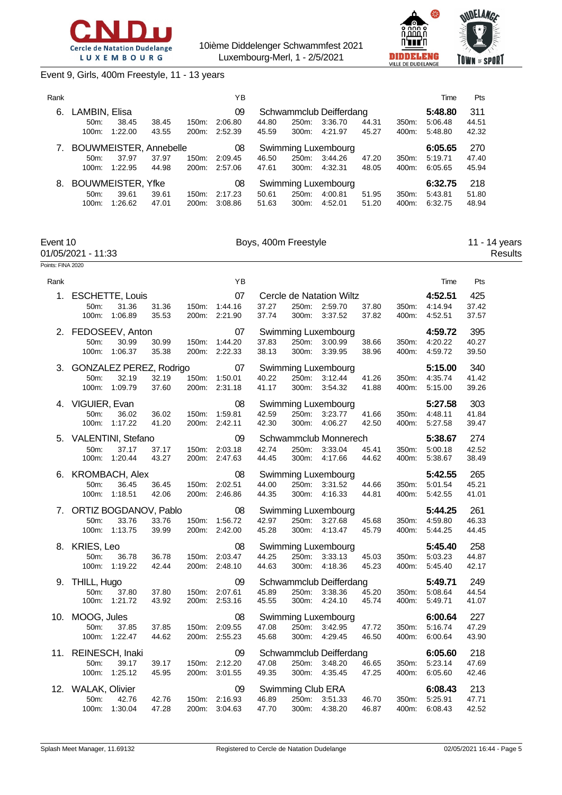

Points: FINA 2020

10ième Diddelenger Schwammfest 2021 Luxembourg-Merl, 1 - 2/5/2021



Event 9, Girls, 400m Freestyle, 11 - 13 years

| Rank |                           |         |       |          | ΥB      |       |          |                         |       |       | Time    | Pts   |
|------|---------------------------|---------|-------|----------|---------|-------|----------|-------------------------|-------|-------|---------|-------|
| 6.   | LAMBIN, Elisa             |         |       |          | 09      |       |          | Schwammclub Deifferdang |       |       | 5:48.80 | 311   |
|      | $50m$ :                   | 38.45   | 38.45 | $150m$ : | 2:06.80 | 44.80 | 250m:    | 3:36.70                 | 44.31 | 350m: | 5:06.48 | 44.51 |
|      | $100m$ :                  | 1:22.00 | 43.55 | 200m:    | 2:52.39 | 45.59 | 300m:    | 4:21.97                 | 45.27 | 400m: | 5:48.80 | 42.32 |
|      | 7. BOUWMEISTER, Annebelle |         |       |          | 08      |       |          | Swimming Luxembourg     |       |       | 6:05.65 | 270   |
|      | $50m$ :                   | 37.97   | 37.97 | 150m:    | 2:09.45 | 46.50 | 250m:    | 3:44.26                 | 47.20 | 350m: | 5:19.71 | 47.40 |
|      | 100m:                     | 1:22.95 | 44.98 | 200m:    | 2:57.06 | 47.61 | $300m$ : | 4:32.31                 | 48.05 | 400m: | 6:05.65 | 45.94 |
| 8.   | <b>BOUWMEISTER, Yfke</b>  |         |       |          | 08      |       |          | Swimming Luxembourg     |       |       | 6:32.75 | 218   |
|      | 50m                       | 39.61   | 39.61 | 150m:    | 2:17.23 | 50.61 | 250m:    | 4:00.81                 | 51.95 | 350m: | 5:43.81 | 51.80 |
|      | 100m:                     | 1:26.62 | 47.01 | 200m:    | 3:08.86 | 51.63 | 300m:    | 4:52.01                 | 51.20 | 400m: | 6:32.75 | 48.94 |

| Event 10           | Boys, 400m Freestyle | 11 - 14 years |
|--------------------|----------------------|---------------|
| 01/05/2021 - 11:33 |                      | Results       |

| Rank |                                                                                                      | ΥB                                      | Pts<br>Time                                                                                                                                                                      |
|------|------------------------------------------------------------------------------------------------------|-----------------------------------------|----------------------------------------------------------------------------------------------------------------------------------------------------------------------------------|
|      | 1. ESCHETTE, Louis<br>31.36<br>31.36<br>150m:<br>$50m$ :<br>1:06.89<br>100m:<br>35.53                | 07<br>1:44.16<br>200m:<br>2:21.90       | 425<br>4:52.51<br>Cercle de Natation Wiltz<br>37.27<br>250m:<br>2:59.70<br>37.80<br>350m:<br>4:14.94<br>37.42<br>37.74<br>300m:<br>3:37.52<br>37.82<br>400m:<br>4:52.51<br>37.57 |
|      | 2. FEDOSEEV, Anton<br>50m:<br>30.99<br>30.99<br>150m:<br>100m:<br>1:06.37<br>35.38                   | 07<br>1:44.20<br>200m: 2:22.33          | Swimming Luxembourg<br>4:59.72<br>395<br>37.83<br>250m:<br>38.66<br>4:20.22<br>40.27<br>3:00.99<br>350m:<br>38.13<br>300m:<br>3:39.95<br>38.96<br>400m:<br>4:59.72<br>39.50      |
| 3.   | GONZALEZ PEREZ, Rodrigo<br>32.19<br>150m:<br>50m:<br>32.19<br>100m: 1:09.79<br>37.60                 | 07<br>1:50.01<br>200m: 2:31.18          | Swimming Luxembourg<br>5:15.00<br>340<br>40.22<br>250m:<br>3:12.44<br>41.26<br>350m:<br>41.42<br>4:35.74<br>41.17<br>300m:<br>3:54.32<br>41.88<br>400m:<br>5:15.00<br>39.26      |
|      | 4. VIGUIER, Evan<br>50m:<br>36.02<br>36.02<br>150m:<br>100m: 1:17.22<br>41.20                        | 08<br>1:59.81<br>200m: 2:42.11          | 303<br>Swimming Luxembourg<br>5:27.58<br>250m:<br>42.59<br>3:23.77<br>41.66<br>350m:<br>4:48.11<br>41.84<br>42.30<br>300m:<br>5:27.58<br>4:06.27<br>42.50<br>400m:<br>39.47      |
|      | 5. VALENTINI, Stefano<br>37.17<br>50m:<br>37.17<br>150m:<br>100m: 1:20.44<br>43.27                   | 09<br>2:03.18<br>200m: 2:47.63          | Schwammclub Monnerech<br>5:38.67<br>274<br>42.74<br>250m:<br>42.52<br>3:33.04<br>45.41<br>350m:<br>5:00.18<br>44.45<br>44.62<br>300m:<br>4:17.66<br>400m:<br>5:38.67<br>38.49    |
|      | 6. KROMBACH, Alex<br>50m:<br>36.45<br>36.45<br>100m: 1:18.51<br>42.06                                | 08<br>2:02.51<br>150m:<br>200m: 2:46.86 | 5:42.55<br>265<br>Swimming Luxembourg<br>250m:<br>44.00<br>3:31.52<br>350m:<br>5:01.54<br>45.21<br>44.66<br>44.35<br>300m:<br>4:16.33<br>44.81<br>5:42.55<br>41.01<br>400m:      |
|      | 7. ORTIZ BOGDANOV, Pablo<br>33.76<br>33.76<br>150m:<br>50m:<br>39.99<br>100m: 1:13.75                | 08<br>1:56.72<br>200m: 2:42.00          | 261<br>Swimming Luxembourg<br>5:44.25<br>42.97<br>250m:<br>3:27.68<br>350m:<br>46.33<br>45.68<br>4:59.80<br>45.28<br>300m:<br>45.79<br>4:13.47<br>400m:<br>5:44.25<br>44.45      |
|      | 8. KRIES, Leo<br>50m:<br>36.78<br>150m:<br>36.78<br>100m: 1:19.22<br>42.44<br>200m:                  | 08<br>2:03.47<br>2:48.10                | 258<br>Swimming Luxembourg<br>5:45.40<br>44.25<br>250m:<br>3:33.13<br>45.03<br>350m:<br>5:03.23<br>44.87<br>44.63<br>300m:<br>4:18.36<br>45.23<br>400m:<br>5:45.40<br>42.17      |
| 9.   | THILL, Hugo<br>50m:<br>37.80<br>37.80<br>150m:<br>100m: 1:21.72<br>43.92                             | 09<br>2:07.61<br>200m: 2:53.16          | Schwammclub Deifferdang<br>5:49.71<br>249<br>44.54<br>45.89<br>250m:<br>3:38.36<br>45.20<br>350m:<br>5:08.64<br>45.55<br>300m:<br>4:24.10<br>45.74<br>400m:<br>41.07<br>5:49.71  |
|      | 10. MOOG, Jules<br>50m:<br>37.85<br>37.85<br>150m:<br>100m: 1:22.47<br>44.62                         | 08<br>2:09.55<br>200m: 2:55.23          | 227<br>Swimming Luxembourg<br>6:00.64<br>47.08<br>250m:<br>3:42.95<br>350m:<br>47.29<br>47.72<br>5:16.74<br>45.68<br>300m:<br>4:29.45<br>46.50<br>43.90<br>400m:<br>6:00.64      |
|      | 11. REINESCH, Inaki<br>39.17<br>39.17<br>150m:<br>50 <sub>m</sub><br>100m: 1:25.12<br>45.95<br>200m: | 09<br>2:12.20<br>3:01.55                | Schwammclub Deifferdang<br>218<br>6:05.60<br>47.08<br>250m:<br>3:48.20<br>46.65<br>350m:<br>5:23.14<br>47.69<br>49.35<br>47.25<br>300m:<br>4:35.45<br>400m:<br>6:05.60<br>42.46  |
|      | 12. WALAK, Olivier<br>50m:<br>42.76<br>42.76<br>150m:<br>100m: 1:30.04<br>47.28                      | 09<br>2:16.93<br>3:04.63<br>200m:       | 213<br>Swimming Club ERA<br>6:08.43<br>46.89<br>250m:<br>3:51.33<br>46.70<br>350m:<br>5:25.91<br>47.71<br>47.70<br>300m:<br>4:38.20<br>46.87<br>400m:<br>6:08.43<br>42.52        |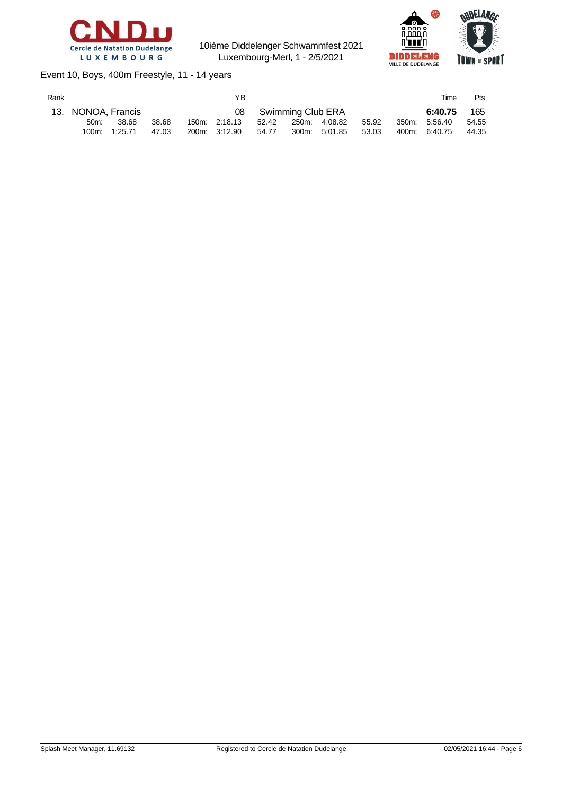



## Event 10, Boys, 400m Freestyle, 11 - 14 years

| Rank |                    |         |       | YB.           |       |                      |               |       | Time          | Pts   |
|------|--------------------|---------|-------|---------------|-------|----------------------|---------------|-------|---------------|-------|
|      | 13. NONOA, Francis |         |       |               |       | 08 Swimming Club ERA |               |       | 6:40.75       | 165   |
|      | $50m$ :            | 38.68   | 38.68 | 150m: 2:18.13 | 52.42 | 250m: 4:08.82        |               | 55.92 | 350m: 5:56.40 | 54.55 |
|      | 100m:              | 1:25.71 | 47.03 | 200m: 3:12.90 | 54.77 |                      | 300m: 5:01.85 | 53.03 | 400m: 6:40.75 | 44.35 |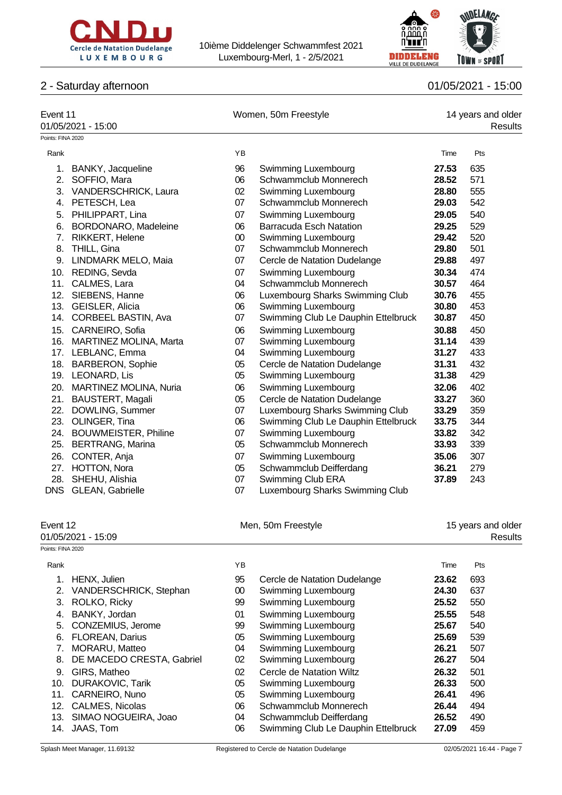



# 2 - Saturday afternoon 01/05/2021 - 15:00

| Event 11          | 01/05/2021 - 15:00         |                    | Women, 50m Freestyle                |       | 14 years and older<br><b>Results</b> |
|-------------------|----------------------------|--------------------|-------------------------------------|-------|--------------------------------------|
| Points: FINA 2020 |                            |                    |                                     |       |                                      |
| Rank              |                            | YB                 |                                     | Time  | Pts                                  |
|                   | 1. BANKY, Jacqueline       | 96                 | Swimming Luxembourg                 | 27.53 | 635                                  |
|                   | 2. SOFFIO, Mara            | 06                 | Schwammclub Monnerech               | 28.52 | 571                                  |
|                   | 3. VANDERSCHRICK, Laura    | $02\,$             | Swimming Luxembourg                 | 28.80 | 555                                  |
|                   | 4. PETESCH, Lea            | 07                 | Schwammclub Monnerech               | 29.03 | 542                                  |
|                   | 5. PHILIPPART, Lina        | 07                 | Swimming Luxembourg                 | 29.05 | 540                                  |
|                   | 6. BORDONARO, Madeleine    | 06                 | <b>Barracuda Esch Natation</b>      | 29.25 | 529                                  |
|                   | 7. RIKKERT, Helene         | $00\,$             | Swimming Luxembourg                 | 29.42 | 520                                  |
|                   | 8. THILL, Gina             | 07                 | Schwammclub Monnerech               | 29.80 | 501                                  |
|                   | 9. LINDMARK MELO, Maia     | 07                 | Cercle de Natation Dudelange        | 29.88 | 497                                  |
|                   | 10. REDING, Sevda          | 07                 | Swimming Luxembourg                 | 30.34 | 474                                  |
| 11.               | CALMES, Lara               | 04                 | Schwammclub Monnerech               | 30.57 | 464                                  |
|                   | 12. SIEBENS, Hanne         | 06                 | Luxembourg Sharks Swimming Club     | 30.76 | 455                                  |
|                   | 13. GEISLER, Alicia        | 06                 | Swimming Luxembourg                 | 30.80 | 453                                  |
|                   | 14. CORBEEL BASTIN, Ava    | 07                 | Swimming Club Le Dauphin Ettelbruck | 30.87 | 450                                  |
| 15.               | CARNEIRO, Sofia            | 06                 | Swimming Luxembourg                 | 30.88 | 450                                  |
|                   | 16. MARTINEZ MOLINA, Marta | 07                 | Swimming Luxembourg                 | 31.14 | 439                                  |
|                   | 17. LEBLANC, Emma          | 04                 | Swimming Luxembourg                 | 31.27 | 433                                  |
| 18.               | <b>BARBERON, Sophie</b>    | 05                 | Cercle de Natation Dudelange        | 31.31 | 432                                  |
|                   | 19. LEONARD, Lis           | 05                 | Swimming Luxembourg                 | 31.38 | 429                                  |
|                   | 20. MARTINEZ MOLINA, Nuria | 06                 | Swimming Luxembourg                 | 32.06 | 402                                  |
| 21.               | <b>BAUSTERT, Magali</b>    | 05                 | Cercle de Natation Dudelange        | 33.27 | 360                                  |
|                   | 22. DOWLING, Summer        | 07                 | Luxembourg Sharks Swimming Club     | 33.29 | 359                                  |
| 23.               | OLINGER, Tina              | 06                 | Swimming Club Le Dauphin Ettelbruck | 33.75 | 344                                  |
|                   | 24. BOUWMEISTER, Philine   | 07                 | Swimming Luxembourg                 | 33.82 | 342                                  |
| 25.               | <b>BERTRANG, Marina</b>    | 05                 | Schwammclub Monnerech               | 33.93 | 339                                  |
|                   | 26. CONTER, Anja           | 07                 | Swimming Luxembourg                 | 35.06 | 307                                  |
|                   | 27. HOTTON, Nora           | 05                 | Schwammclub Deifferdang             | 36.21 | 279                                  |
|                   | 28. SHEHU, Alishia         | 07                 | Swimming Club ERA                   | 37.89 | 243                                  |
| <b>DNS</b>        | <b>GLEAN, Gabrielle</b>    | 07                 | Luxembourg Sharks Swimming Club     |       |                                      |
| Event 12          |                            | Men, 50m Freestyle |                                     |       | 15 years and older                   |
|                   | 01/05/2021 - 15:09         |                    |                                     |       | <b>Results</b>                       |
| Points: FINA 2020 |                            |                    |                                     |       |                                      |
| Rank              |                            | YB                 |                                     | Time  | Pts                                  |
| 1.                | HENX, Julien               | 95                 | Cercle de Natation Dudelange        | 23.62 | 693                                  |
| 2.                | VANDERSCHRICK, Stephan     | $00\,$             | Swimming Luxembourg                 | 24.30 | 637                                  |
| 3.                | ROLKO, Ricky               | 99                 | Swimming Luxembourg                 | 25.52 | 550                                  |
| 4.                | BANKY, Jordan              | 01                 | Swimming Luxembourg                 | 25.55 | 548                                  |
| 5.                | CONZEMIUS, Jerome          | 99                 | Swimming Luxembourg                 | 25.67 | 540                                  |
| 6.                | FLOREAN, Darius            | 05                 | Swimming Luxembourg                 | 25.69 | 539                                  |
| 7.                | MORARU, Matteo             | 04                 | Swimming Luxembourg                 | 26.21 | 507                                  |
| 8.                | DE MACEDO CRESTA, Gabriel  | 02                 | Swimming Luxembourg                 | 26.27 | 504                                  |
| 9.                | GIRS, Matheo               | 02                 | Cercle de Natation Wiltz            | 26.32 | 501                                  |
| 10.               | <b>DURAKOVIC, Tarik</b>    | 05                 | Swimming Luxembourg                 | 26.33 | 500                                  |
| 11.               | CARNEIRO, Nuno             | 05                 | Swimming Luxembourg                 | 26.41 | 496                                  |
| 12.               | CALMES, Nicolas            | 06                 | Schwammclub Monnerech               | 26.44 | 494                                  |

13. SIMAO NOGUEIRA, Joao 04 Schwammclub Deifferdang **26.52** 490 14. JAAS, Tom 06 Swimming Club Le Dauphin Ettelbruck **27.09** 459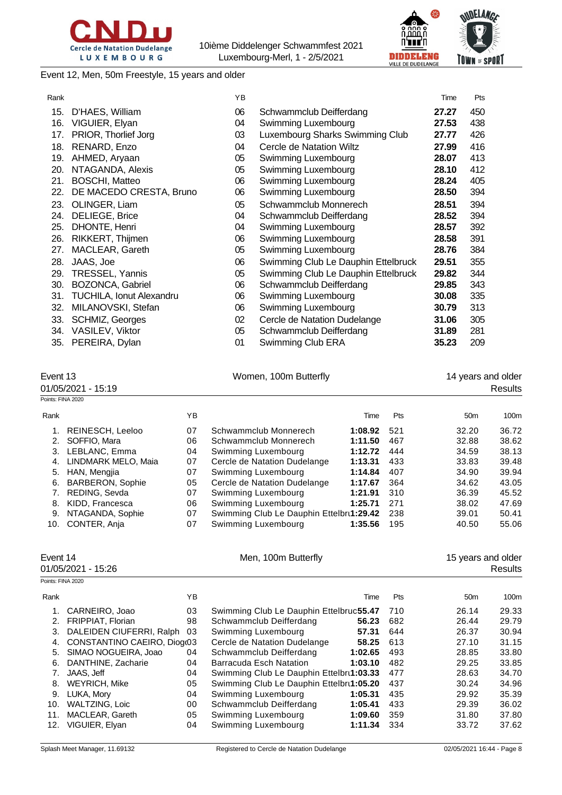



Event 12, Men, 50m Freestyle, 15 years and older

| Rank |                          | YB |                                     | Time  | Pts |
|------|--------------------------|----|-------------------------------------|-------|-----|
| 15.  | D'HAES, William          | 06 | Schwammclub Deifferdang             | 27.27 | 450 |
| 16.  | VIGUIER, Elyan           | 04 | Swimming Luxembourg                 | 27.53 | 438 |
| 17.  | PRIOR, Thorlief Jorg     | 03 | Luxembourg Sharks Swimming Club     | 27.77 | 426 |
| 18.  | RENARD, Enzo             | 04 | <b>Cercle de Natation Wiltz</b>     | 27.99 | 416 |
| 19.  | AHMED, Aryaan            | 05 | Swimming Luxembourg                 | 28.07 | 413 |
| 20.  | NTAGANDA, Alexis         | 05 | Swimming Luxembourg                 | 28.10 | 412 |
| 21.  | <b>BOSCHI, Matteo</b>    | 06 | Swimming Luxembourg                 | 28.24 | 405 |
| 22.  | DE MACEDO CRESTA, Bruno  | 06 | Swimming Luxembourg                 | 28.50 | 394 |
| 23.  | OLINGER, Liam            | 05 | Schwammclub Monnerech               | 28.51 | 394 |
| 24.  | DELIEGE, Brice           | 04 | Schwammclub Deifferdang             | 28.52 | 394 |
| 25.  | DHONTE, Henri            | 04 | Swimming Luxembourg                 | 28.57 | 392 |
| 26.  | RIKKERT, Thijmen         | 06 | Swimming Luxembourg                 | 28.58 | 391 |
| 27.  | MACLEAR, Gareth          | 05 | Swimming Luxembourg                 | 28.76 | 384 |
| 28.  | JAAS, Joe                | 06 | Swimming Club Le Dauphin Ettelbruck | 29.51 | 355 |
| 29.  | TRESSEL, Yannis          | 05 | Swimming Club Le Dauphin Ettelbruck | 29.82 | 344 |
| 30.  | BOZONCA, Gabriel         | 06 | Schwammclub Deifferdang             | 29.85 | 343 |
| 31.  | TUCHILA, Ionut Alexandru | 06 | Swimming Luxembourg                 | 30.08 | 335 |
| 32.  | MILANOVSKI, Stefan       | 06 | Swimming Luxembourg                 | 30.79 | 313 |
| 33.  | <b>SCHMIZ, Georges</b>   | 02 | Cercle de Natation Dudelange        | 31.06 | 305 |
| 34.  | VASILEV, Viktor          | 05 | Schwammclub Deifferdang             | 31.89 | 281 |
| 35.  | PEREIRA, Dylan           | 01 | Swimming Club ERA                   | 35.23 | 209 |

Event 13 **Event 13** Nomen, 100m Butterfly **14 years and older** 01/05/2021 - 15:19 Results Pointe: FINA 2020 Rank 100m (The Pts 50m 100m of the Past 100m of the Pts 50m 100m 1. REINESCH, Leeloo 07 Schwammclub Monnerech **1:08.92** 521 32.20 36.72 2. SOFFIO, Mara 06 Schwammclub Monnerech **1:11.50** 467 32.88 38.62 1. LEBLANC, Emma **1:12.72 444** 34.59 38.13<br>1. LINDMARK MELO. Maia 07 Cercle de Natation Dudelange 1:13.31 433 33.83 39.48 **Cercle de Natation Dudelange** 5. HAN, Mengjia 07 Swimming Luxembourg **1:14.84** 407 34.90 39.94 6. BARBERON, Sophie 05 Cercle de Natation Dudelange **1:17.67** 364 34.62 43.05 7. REDING, Sevda 07 Swimming Luxembourg **1:21.91** 310 36.39 45.52 8. KIDD, Francesca 06 Swimming Luxembourg **1:25.71** 271 38.02 47.69 9. NTAGANDA, Sophie **07** Swimming Club Le Dauphin Ettelbru**1:29.42** 238 39.01 50.41 10. CONTER, Anja 07 Swimming Luxembourg **1:35.56** 195 40.50 55.06

| Event 14<br>01/05/2021 - 15:26 |                             |    | Men, 100m Butterfly                      |         |     | 15 years and older<br>Results |       |  |
|--------------------------------|-----------------------------|----|------------------------------------------|---------|-----|-------------------------------|-------|--|
|                                | Points: FINA 2020           |    |                                          |         |     |                               |       |  |
| Rank                           |                             | YB |                                          | Time    | Pts | 50 <sub>m</sub>               | 100m  |  |
|                                | CARNEIRO, Joao              | 03 | Swimming Club Le Dauphin Ettelbruc55.47  |         | 710 | 26.14                         | 29.33 |  |
| 2.                             | FRIPPIAT, Florian           | 98 | Schwammclub Deifferdang                  | 56.23   | 682 | 26.44                         | 29.79 |  |
| 3.                             | DALEIDEN CIUFERRI, Ralph    | 03 | Swimming Luxembourg                      | 57.31   | 644 | 26.37                         | 30.94 |  |
| 4.                             | CONSTANTINO CAEIRO, Diogr03 |    | Cercle de Natation Dudelange             | 58.25   | 613 | 27.10                         | 31.15 |  |
| 5.                             | SIMAO NOGUEIRA, Joao        | 04 | Schwammclub Deifferdang                  | 1:02.65 | 493 | 28.85                         | 33.80 |  |
| 6.                             | DANTHINE, Zacharie          | 04 | Barracuda Esch Natation                  | 1:03.10 | 482 | 29.25                         | 33.85 |  |
| 7.                             | JAAS, Jeff                  | 04 | Swimming Club Le Dauphin Ettelbru1:03.33 |         | 477 | 28.63                         | 34.70 |  |
| 8.                             | <b>WEYRICH, Mike</b>        | 05 | Swimming Club Le Dauphin Ettelbru1:05.20 |         | 437 | 30.24                         | 34.96 |  |
| 9.                             | LUKA, Mory                  | 04 | Swimming Luxembourg                      | 1:05.31 | 435 | 29.92                         | 35.39 |  |
| 10.                            | <b>WALTZING, Loic</b>       | 00 | Schwammclub Deifferdang                  | 1:05.41 | 433 | 29.39                         | 36.02 |  |
| 11.                            | MACLEAR, Gareth             | 05 | Swimming Luxembourg                      | 1:09.60 | 359 | 31.80                         | 37.80 |  |
| 12.                            | VIGUIER, Elyan              | 04 | Swimming Luxembourg                      | 1:11.34 | 334 | 33.72                         | 37.62 |  |
|                                |                             |    |                                          |         |     |                               |       |  |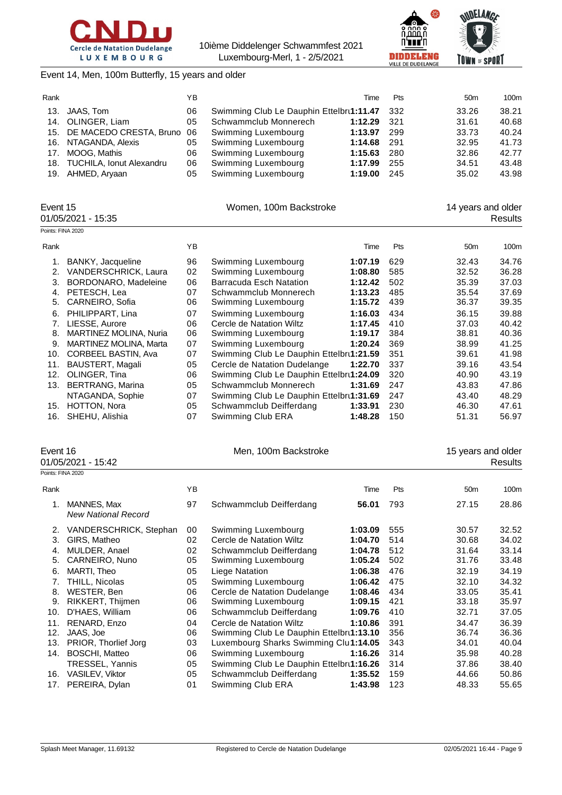



Event 14, Men, 100m Butterfly, 15 years and older

| Rank |                                | YΒ |                                              | Time    | <b>Pts</b> | 50 <sub>m</sub> | 100m  |
|------|--------------------------------|----|----------------------------------------------|---------|------------|-----------------|-------|
|      | 13. JAAS, Tom                  | 06 | Swimming Club Le Dauphin Ettelbru1:11.47 332 |         |            | 33.26           | 38.21 |
|      | 14. OLINGER, Liam              | 05 | Schwammclub Monnerech                        | 1:12.29 | - 321      | 31.61           | 40.68 |
|      | 15. DE MACEDO CRESTA, Bruno 06 |    | Swimming Luxembourg                          | 1:13.97 | 299        | 33.73           | 40.24 |
|      | 16. NTAGANDA, Alexis           | 05 | Swimming Luxembourg                          | 1:14.68 | -291       | 32.95           | 41.73 |
| 17.  | MOOG. Mathis                   | 06 | Swimming Luxembourg                          | 1:15.63 | 280        | 32.86           | 42.77 |
|      | 18. TUCHILA, Ionut Alexandru   | 06 | Swimming Luxembourg                          | 1:17.99 | 255        | 34.51           | 43.48 |
|      | 19. AHMED, Aryaan              | 05 | Swimming Luxembourg                          | 1:19.00 | 245        | 35.02           | 43.98 |
|      |                                |    |                                              |         |            |                 |       |

| Event 15<br>01/05/2021 - 15:35 |                            |    | Women, 100m Backstroke                   |         | 14 years and older<br>Results |                 |       |
|--------------------------------|----------------------------|----|------------------------------------------|---------|-------------------------------|-----------------|-------|
|                                | Points: FINA 2020          |    |                                          |         |                               |                 |       |
| Rank                           |                            | YB |                                          | Time    | Pts                           | 50 <sub>m</sub> | 100m  |
|                                | BANKY, Jacqueline          | 96 | Swimming Luxembourg                      | 1:07.19 | 629                           | 32.43           | 34.76 |
| 2.                             | VANDERSCHRICK, Laura       | 02 | Swimming Luxembourg                      | 1:08.80 | 585                           | 32.52           | 36.28 |
| 3.                             | BORDONARO, Madeleine       | 06 | Barracuda Esch Natation                  | 1:12.42 | 502                           | 35.39           | 37.03 |
| 4.                             | PETESCH, Lea               | 07 | Schwammclub Monnerech                    | 1:13.23 | 485                           | 35.54           | 37.69 |
| 5.                             | CARNEIRO, Sofia            | 06 | Swimming Luxembourg                      | 1:15.72 | 439                           | 36.37           | 39.35 |
| 6.                             | PHILIPPART, Lina           | 07 | Swimming Luxembourg                      | 1:16.03 | 434                           | 36.15           | 39.88 |
| 7.                             | LIESSE, Aurore             | 06 | Cercle de Natation Wiltz                 | 1:17.45 | 410                           | 37.03           | 40.42 |
| 8.                             | MARTINEZ MOLINA, Nuria     | 06 | Swimming Luxembourg                      | 1:19.17 | 384                           | 38.81           | 40.36 |
| 9.                             | MARTINEZ MOLINA, Marta     | 07 | Swimming Luxembourg                      | 1:20.24 | 369                           | 38.99           | 41.25 |
| 10.                            | <b>CORBEEL BASTIN, Ava</b> | 07 | Swimming Club Le Dauphin Ettelbru1:21.59 |         | 351                           | 39.61           | 41.98 |
| 11.                            | BAUSTERT, Magali           | 05 | Cercle de Natation Dudelange             | 1:22.70 | 337                           | 39.16           | 43.54 |
| 12.                            | OLINGER, Tina              | 06 | Swimming Club Le Dauphin Ettelbru1:24.09 |         | 320                           | 40.90           | 43.19 |
| 13.                            | <b>BERTRANG, Marina</b>    | 05 | Schwammclub Monnerech                    | 1:31.69 | 247                           | 43.83           | 47.86 |
|                                | NTAGANDA, Sophie           | 07 | Swimming Club Le Dauphin Ettelbru1:31.69 |         | 247                           | 43.40           | 48.29 |
| 15.                            | HOTTON, Nora               | 05 | Schwammclub Deifferdang                  | 1:33.91 | 230                           | 46.30           | 47.61 |
| 16.                            | SHEHU, Alishia             | 07 | Swimming Club ERA                        | 1:48.28 | 150                           | 51.31           | 56.97 |

| Event 16 |  |
|----------|--|
|----------|--|

1/05/2021 - 15:42

|  | - |                 |  |
|--|---|-----------------|--|
|  |   | 01/05/2021 - 15 |  |

Men, 100m Backstroke 15 years and older<br>Results

|      | Points: FINA 2020                                |    |                                          |         |     |                 |       |
|------|--------------------------------------------------|----|------------------------------------------|---------|-----|-----------------|-------|
| Rank |                                                  | ΥB |                                          | Time    | Pts | 50 <sub>m</sub> | 100m  |
| 1.   | <b>MANNES, Max</b><br><b>New National Record</b> | 97 | Schwammclub Deifferdang                  | 56.01   | 793 | 27.15           | 28.86 |
| 2.   | VANDERSCHRICK, Stephan                           | 00 | Swimming Luxembourg                      | 1:03.09 | 555 | 30.57           | 32.52 |
| 3.   | GIRS, Matheo                                     | 02 | Cercle de Natation Wiltz                 | 1:04.70 | 514 | 30.68           | 34.02 |
| 4.   | MULDER, Anael                                    | 02 | Schwammclub Deifferdang                  | 1:04.78 | 512 | 31.64           | 33.14 |
| 5.   | CARNEIRO, Nuno                                   | 05 | Swimming Luxembourg                      | 1:05.24 | 502 | 31.76           | 33.48 |
| 6.   | MARTI, Theo                                      | 05 | Liege Natation                           | 1:06.38 | 476 | 32.19           | 34.19 |
|      | THILL, Nicolas                                   | 05 | Swimming Luxembourg                      | 1:06.42 | 475 | 32.10           | 34.32 |
| 8.   | WESTER, Ben                                      | 06 | Cercle de Natation Dudelange             | 1:08.46 | 434 | 33.05           | 35.41 |
| 9.   | RIKKERT, Thijmen                                 | 06 | Swimming Luxembourg                      | 1:09.15 | 421 | 33.18           | 35.97 |
| 10.  | D'HAES, William                                  | 06 | Schwammclub Deifferdang                  | 1:09.76 | 410 | 32.71           | 37.05 |
| 11.  | RENARD, Enzo                                     | 04 | Cercle de Natation Wiltz                 | 1:10.86 | 391 | 34.47           | 36.39 |
| 12.  | JAAS, Joe                                        | 06 | Swimming Club Le Dauphin Ettelbru1:13.10 |         | 356 | 36.74           | 36.36 |
| 13.  | PRIOR, Thorlief Jorg                             | 03 | Luxembourg Sharks Swimming Clul1:14.05   |         | 343 | 34.01           | 40.04 |
| 14.  | <b>BOSCHI, Matteo</b>                            | 06 | Swimming Luxembourg                      | 1:16.26 | 314 | 35.98           | 40.28 |
|      | TRESSEL, Yannis                                  | 05 | Swimming Club Le Dauphin Ettelbru1:16.26 |         | 314 | 37.86           | 38.40 |
| 16.  | VASILEV, Viktor                                  | 05 | Schwammclub Deifferdang                  | 1:35.52 | 159 | 44.66           | 50.86 |
| 17.  | PEREIRA, Dylan                                   | 01 | Swimming Club ERA                        | 1:43.98 | 123 | 48.33           | 55.65 |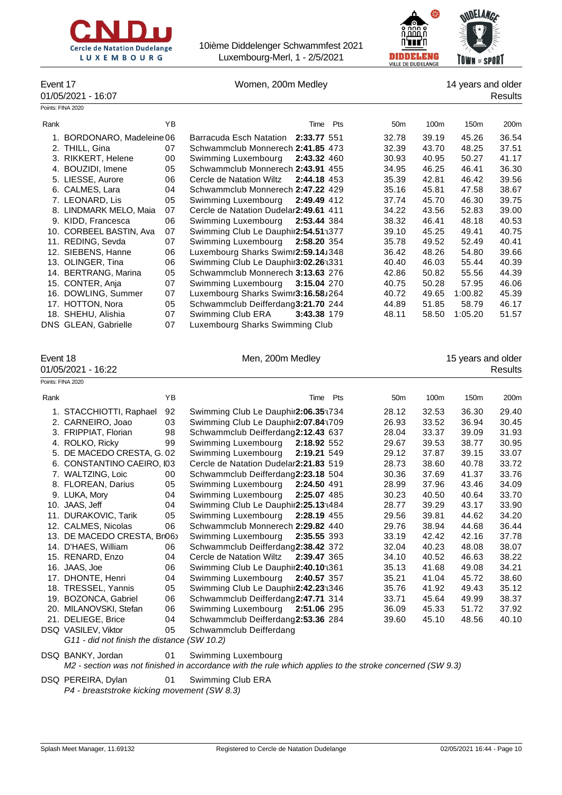



Event 17 Momen, 200m Medley 14 years and older

|      | 01/05/2021 - 16:07         |    |                                         |                 |       |                  | Results |
|------|----------------------------|----|-----------------------------------------|-----------------|-------|------------------|---------|
|      | Points: FINA 2020          |    |                                         |                 |       |                  |         |
| Rank |                            | YB | Time Pts                                | 50 <sub>m</sub> | 100m  | 150 <sub>m</sub> | 200m    |
|      | 1. BORDONARO, Madeleine 06 |    | Barracuda Esch Natation 2:33.77 551     | 32.78           | 39.19 | 45.26            | 36.54   |
|      | 2. THILL, Gina             | 07 | Schwammclub Monnerech 2:41.85 473       | 32.39           | 43.70 | 48.25            | 37.51   |
|      | 3. RIKKERT, Helene         | 00 | Swimming Luxembourg<br>2:43.32 460      | 30.93           | 40.95 | 50.27            | 41.17   |
|      | 4. BOUZIDI, Imene          | 05 | Schwammclub Monnerech 2:43.91 455       | 34.95           | 46.25 | 46.41            | 36.30   |
|      | 5. LIESSE, Aurore          | 06 | Cercle de Natation Wiltz<br>2:44.18 453 | 35.39           | 42.81 | 46.42            | 39.56   |
|      | 6. CALMES, Lara            | 04 | Schwammclub Monnerech 2:47.22 429       | 35.16           | 45.81 | 47.58            | 38.67   |
|      | 7. LEONARD, Lis            | 05 | Swimming Luxembourg<br>2:49.49 412      | 37.74           | 45.70 | 46.30            | 39.75   |
|      | 8. LINDMARK MELO, Maia     | 07 | Cercle de Natation Dudelar2:49.61 411   | 34.22           | 43.56 | 52.83            | 39.00   |
|      | 9. KIDD, Francesca         | 06 | Swimming Luxembourg 2:53.44 384         | 38.32           | 46.41 | 48.18            | 40.53   |
|      | 10. CORBEEL BASTIN, Ava    | 07 | Swimming Club Le Dauphir2:54.51:1377    | 39.10           | 45.25 | 49.41            | 40.75   |
|      | 11. REDING, Sevda          | 07 | Swimming Luxembourg 2:58.20 354         | 35.78           | 49.52 | 52.49            | 40.41   |
|      | 12. SIEBENS, Hanne         | 06 | Luxembourg Sharks Swimr2:59.14J348      | 36.42           | 48.26 | 54.80            | 39.66   |
|      | 13. OLINGER, Tina          | 06 | Swimming Club Le Dauphir3:02.26 : 331   | 40.40           | 46.03 | 55.44            | 40.39   |
|      | 14. BERTRANG, Marina       | 05 | Schwammclub Monnerech 3:13.63 276       | 42.86           | 50.82 | 55.56            | 44.39   |
|      | 15. CONTER, Anja           | 07 | 3:15.04 270<br>Swimming Luxembourg      | 40.75           | 50.28 | 57.95            | 46.06   |
|      | 16. DOWLING, Summer        | 07 | Luxembourg Sharks Swimr3:16.58J264      | 40.72           | 49.65 | 1:00.82          | 45.39   |
|      | 17. HOTTON, Nora           | 05 | Schwammclub Deifferdang3:21.70 244      | 44.89           | 51.85 | 58.79            | 46.17   |
|      | 18. SHEHU, Alishia         | 07 | Swimming Club ERA<br>3:43.38 179        | 48.11           | 58.50 | 1:05.20          | 51.57   |
|      | DNS GLEAN, Gabrielle       | 07 | Luxembourg Sharks Swimming Club         |                 |       |                  |         |

| vent |  |
|------|--|
|------|--|

01/05/2021 - 16:22

Men, 200m Medley 15 years and older<br>Results

|      | Points: FINA 2020          |    |                                                  |                 |       |                  |                  |
|------|----------------------------|----|--------------------------------------------------|-----------------|-------|------------------|------------------|
| Rank |                            | YB | Pts<br>Time                                      | 50 <sub>m</sub> | 100m  | 150 <sub>m</sub> | 200 <sub>m</sub> |
|      | 1. STACCHIOTTI, Raphael    | 92 | Swimming Club Le Dauphir2:06.35:1734             | 28.12           | 32.53 | 36.30            | 29.40            |
|      | 2. CARNEIRO, Joao          | 03 | Swimming Club Le Dauphir2:07.84:0709             | 26.93           | 33.52 | 36.94            | 30.45            |
|      | 3. FRIPPIAT, Florian       | 98 | Schwammclub Deifferdang2:12.43 637               | 28.04           | 33.37 | 39.09            | 31.93            |
|      | 4. ROLKO, Ricky            | 99 | Swimming Luxembourg<br>2:18.92 552               | 29.67           | 39.53 | 38.77            | 30.95            |
|      | 5. DE MACEDO CRESTA, G. 02 |    | Swimming Luxembourg<br>2:19.21 549               | 29.12           | 37.87 | 39.15            | 33.07            |
|      | 6. CONSTANTINO CAEIRO, I03 |    | Cercle de Natation Dudelar2:21.83 519            | 28.73           | 38.60 | 40.78            | 33.72            |
|      | 7. WALTZING, Loic          | 00 | Schwammclub Deifferdang2:23.18 504               | 30.36           | 37.69 | 41.37            | 33.76            |
|      | 8. FLOREAN, Darius         | 05 | Swimming Luxembourg<br>2:24.50 491               | 28.99           | 37.96 | 43.46            | 34.09            |
|      | 9. LUKA, Mory              | 04 | Swimming Luxembourg<br>2:25.07 485               | 30.23           | 40.50 | 40.64            | 33.70            |
|      | 10. JAAS, Jeff             | 04 | Swimming Club Le Dauphir2:25.13 <sup>-1484</sup> | 28.77           | 39.29 | 43.17            | 33.90            |
|      | 11. DURAKOVIC, Tarik       | 05 | Swimming Luxembourg<br>2:28.19 455               | 29.56           | 39.81 | 44.62            | 34.20            |
|      | 12. CALMES, Nicolas        | 06 | Schwammclub Monnerech 2:29.82 440                | 29.76           | 38.94 | 44.68            | 36.44            |
|      | 13. DE MACEDO CRESTA, Br06 |    | Swimming Luxembourg<br>2:35.55 393               | 33.19           | 42.42 | 42.16            | 37.78            |
|      | 14. D'HAES, William        | 06 | Schwammclub Deifferdang2:38.42 372               | 32.04           | 40.23 | 48.08            | 38.07            |
|      | 15. RENARD, Enzo           | 04 | Cercle de Natation Wiltz<br>2:39.47 365          | 34.10           | 40.52 | 46.63            | 38.22            |
|      | 16. JAAS, Joe              | 06 | Swimming Club Le Dauphir2:40.10 (361             | 35.13           | 41.68 | 49.08            | 34.21            |
|      | 17. DHONTE, Henri          | 04 | 2:40.57 357<br>Swimming Luxembourg               | 35.21           | 41.04 | 45.72            | 38.60            |
|      | 18. TRESSEL, Yannis        | 05 | Swimming Club Le Dauphir2:42.23:1346             | 35.76           | 41.92 | 49.43            | 35.12            |
|      | 19. BOZONCA, Gabriel       | 06 | Schwammclub Deifferdang2:47.71 314               | 33.71           | 45.64 | 49.99            | 38.37            |
|      | 20. MILANOVSKI, Stefan     | 06 | Swimming Luxembourg<br>2:51.06 295               | 36.09           | 45.33 | 51.72            | 37.92            |
|      | 21. DELIEGE, Brice         | 04 | Schwammclub Deifferdang2:53.36 284               | 39.60           | 45.10 | 48.56            | 40.10            |
|      | DSQ VASILEV, Viktor        | 05 | Schwammclub Deifferdang                          |                 |       |                  |                  |

*G11 - did not finish the distance (SW 10.2)*

## DSQ BANKY, Jordan 01 Swimming Luxembourg

*M2 - section was not finished in accordance with the rule which applies to the stroke concerned (SW 9.3)*

DSQ PEREIRA, Dylan 01 Swimming Club ERA *P4 - breaststroke kicking movement (SW 8.3)*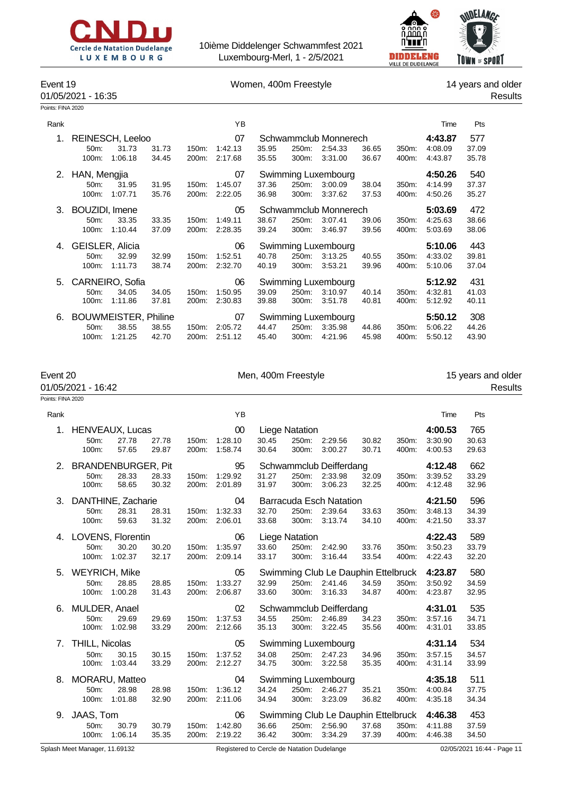



### Event 19 **Event 19** Nomen, 400m Freestyle 14 years and older

# 01/05/2021 - 16:35 Results

| Points: FINA 2020 |  |
|-------------------|--|
|-------------------|--|

| Rank |                                                                             |                |                | ΥB                       |                |                |                                                  |                |                           | Time                          | Pts                   |  |
|------|-----------------------------------------------------------------------------|----------------|----------------|--------------------------|----------------|----------------|--------------------------------------------------|----------------|---------------------------|-------------------------------|-----------------------|--|
| 1.   | REINESCH, Leeloo<br>31.73<br>50m:<br>1:06.18<br>100m:                       | 31.73<br>34.45 | 150m:<br>200m: | 07<br>1:42.13<br>2:17.68 | 35.95<br>35.55 | 250m:<br>300m: | Schwammclub Monnerech<br>2:54.33<br>3:31.00      | 36.65<br>36.67 | 350m:<br>400m:            | 4:43.87<br>4:08.09<br>4:43.87 | 577<br>37.09<br>35.78 |  |
| 2.   | HAN, Mengjia<br>50m:<br>31.95<br>1:07.71<br>100m:                           | 31.95<br>35.76 | 150m:<br>200m: | 07<br>1:45.07<br>2:22.05 | 37.36<br>36.98 | 250m:<br>300m: | Swimming Luxembourg<br>3:00.09<br>3:37.62        | 38.04<br>37.53 | 350m:<br>400m:            | 4:50.26<br>4:14.99<br>4:50.26 | 540<br>37.37<br>35.27 |  |
| 3.   | BOUZIDI, Imene<br>33.35<br>50 <sub>m</sub> :<br>1:10.44<br>100m:            | 33.35<br>37.09 | 150m:<br>200m: | 05<br>1:49.11<br>2:28.35 | 38.67<br>39.24 | 250m:<br>300m: | Schwammclub Monnerech<br>3:07.41<br>3:46.97      | 39.06<br>39.56 | 350m:<br>400m:            | 5:03.69<br>4:25.63<br>5:03.69 | 472<br>38.66<br>38.06 |  |
| 4.   | GEISLER, Alicia<br>32.99<br>50m:<br>1:11.73<br>100m:                        | 32.99<br>38.74 | 150m:<br>200m: | 06<br>1:52.51<br>2:32.70 | 40.78<br>40.19 | 250m:<br>300m: | <b>Swimming Luxembourg</b><br>3:13.25<br>3:53.21 | 40.55<br>39.96 | 350m:<br>400m:            | 5:10.06<br>4:33.02<br>5:10.06 | 443<br>39.81<br>37.04 |  |
| 5.   | CARNEIRO, Sofia<br>34.05<br>50m:<br>1:11.86<br>100m:                        | 34.05<br>37.81 | 150m:<br>200m: | 06<br>1:50.95<br>2:30.83 | 39.09<br>39.88 | 250m:<br>300m: | Swimming Luxembourg<br>3:10.97<br>3:51.78        | 40.14<br>40.81 | 350m:<br>400m:            | 5:12.92<br>4:32.81<br>5:12.92 | 431<br>41.03<br>40.11 |  |
| 6.   | <b>BOUWMEISTER, Philine</b><br>38.55<br>50 <sub>m</sub><br>100m:<br>1:21.25 | 38.55<br>42.70 | 150m:<br>200m: | 07<br>2:05.72<br>2:51.12 | 44.47<br>45.40 | 250m:<br>300m: | Swimming Luxembourg<br>3:35.98<br>4:21.96        | 44.86<br>45.98 | 350 <sub>m</sub><br>400m: | 5:50.12<br>5:06.22<br>5:50.12 | 308<br>44.26<br>43.90 |  |

|                   | Event 20<br>01/05/2021 - 16:42         |                                             |                |                | Men, 400m Freestyle      |                |                                         |                                                           |                |                | 15 years and older<br><b>Results</b> |                       |  |
|-------------------|----------------------------------------|---------------------------------------------|----------------|----------------|--------------------------|----------------|-----------------------------------------|-----------------------------------------------------------|----------------|----------------|--------------------------------------|-----------------------|--|
| Points: FINA 2020 |                                        |                                             |                |                |                          |                |                                         |                                                           |                |                |                                      |                       |  |
| Rank              |                                        |                                             |                |                | YB                       |                |                                         |                                                           |                |                | Time                                 | Pts                   |  |
| 1.                | 50m:<br>100m:                          | <b>HENVEAUX, Lucas</b><br>27.78<br>57.65    | 27.78<br>29.87 | 150m:<br>200m: | 00<br>1:28.10<br>1:58.74 | 30.45<br>30.64 | Liege Natation<br>250m:<br>300m:        | 2:29.56<br>3:00.27                                        | 30.82<br>30.71 | 350m:<br>400m: | 4:00.53<br>3:30.90<br>4:00.53        | 765<br>30.63<br>29.63 |  |
| 2.                | 50m:<br>100m:                          | <b>BRANDENBURGER, Pit</b><br>28.33<br>58.65 | 28.33<br>30.32 | 150m:<br>200m: | 95<br>1:29.92<br>2:01.89 | 31.27<br>31.97 | 250m:<br>300m:                          | Schwammclub Deifferdang<br>2:33.98<br>3:06.23             | 32.09<br>32.25 | 350m:<br>400m: | 4:12.48<br>3:39.52<br>4:12.48        | 662<br>33.29<br>32.96 |  |
| 3.                | 50m:<br>100m:                          | DANTHINE, Zacharie<br>28.31<br>59.63        | 28.31<br>31.32 | 150m:<br>200m: | 04<br>1:32.33<br>2:06.01 | 32.70<br>33.68 | 250m:<br>300m:                          | <b>Barracuda Esch Natation</b><br>2:39.64<br>3:13.74      | 33.63<br>34.10 | 350m:<br>400m: | 4:21.50<br>3:48.13<br>4:21.50        | 596<br>34.39<br>33.37 |  |
| 4.                | 50m:<br>100m:                          | LOVENS, Florentin<br>30.20<br>1:02.37       | 30.20<br>32.17 | 150m:<br>200m: | 06<br>1:35.97<br>2:09.14 | 33.60<br>33.17 | <b>Liege Natation</b><br>250m:<br>300m: | 2:42.90<br>3:16.44                                        | 33.76<br>33.54 | 350m:<br>400m: | 4:22.43<br>3:50.23<br>4:22.43        | 589<br>33.79<br>32.20 |  |
| 5.                | <b>WEYRICH, Mike</b><br>50m:<br>100m:  | 28.85<br>1:00.28                            | 28.85<br>31.43 | 150m:<br>200m: | 05<br>1:33.27<br>2:06.87 | 32.99<br>33.60 | 250m:<br>300m:                          | Swimming Club Le Dauphin Ettelbruck<br>2:41.46<br>3:16.33 | 34.59<br>34.87 | 350m:<br>400m: | 4:23.87<br>3:50.92<br>4:23.87        | 580<br>34.59<br>32.95 |  |
| 6.                | MULDER, Anael<br>50m:<br>100m:         | 29.69<br>1:02.98                            | 29.69<br>33.29 | 150m:<br>200m: | 02<br>1:37.53<br>2:12.66 | 34.55<br>35.13 | 250m:<br>300m:                          | Schwammclub Deifferdang<br>2:46.89<br>3:22.45             | 34.23<br>35.56 | 350m:<br>400m: | 4:31.01<br>3:57.16<br>4:31.01        | 535<br>34.71<br>33.85 |  |
| 7.                | <b>THILL, Nicolas</b><br>50m:<br>100m: | 30.15<br>1:03.44                            | 30.15<br>33.29 | 150m:<br>200m: | 05<br>1:37.52<br>2:12.27 | 34.08<br>34.75 | 250m:<br>300m:                          | Swimming Luxembourg<br>2:47.23<br>3:22.58                 | 34.96<br>35.35 | 350m:<br>400m: | 4:31.14<br>3:57.15<br>4:31.14        | 534<br>34.57<br>33.99 |  |
| 8.                | 50m:<br>100m:                          | MORARU, Matteo<br>28.98<br>1:01.88          | 28.98<br>32.90 | 150m:<br>200m: | 04<br>1:36.12<br>2:11.06 | 34.24<br>34.94 | 250m:<br>300m:                          | Swimming Luxembourg<br>2:46.27<br>3:23.09                 | 35.21<br>36.82 | 350m:<br>400m: | 4:35.18<br>4:00.84<br>4:35.18        | 511<br>37.75<br>34.34 |  |

50m: 30.79 30.79 150m: 1:42.80 36.66 250m: 2:56.90 37.68 350m: 4:11.88 37.59

9. JAAS, Tom 06 Swimming Club Le Dauphin Ettelbruck **4:46.38** 453

100m: 1:06.14 35.35 200m: 2:19.22 36.42 300m: 3:34.29 37.39 400m: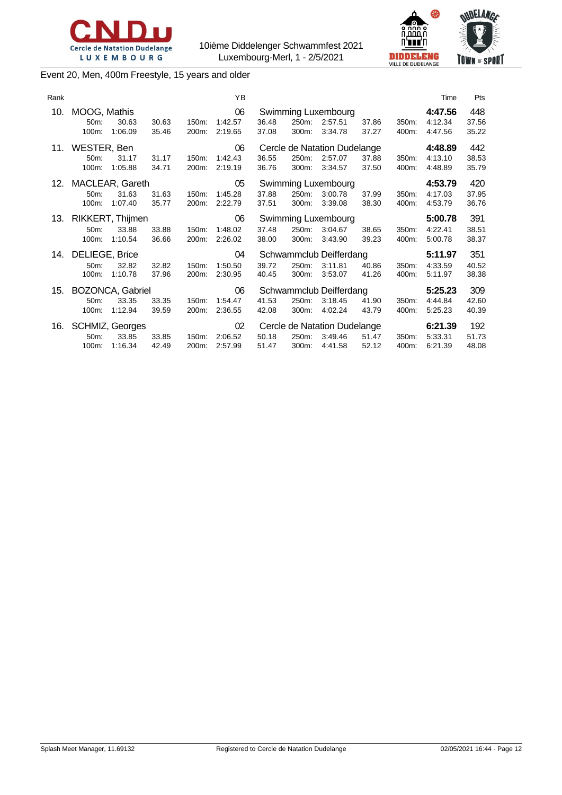



Event 20, Men, 400m Freestyle, 15 years and older

| Rank |                                  |                                     |                |                | YB                       |                |                |                                                    |                |                | Time                          | Pts                   |
|------|----------------------------------|-------------------------------------|----------------|----------------|--------------------------|----------------|----------------|----------------------------------------------------|----------------|----------------|-------------------------------|-----------------------|
| 10.  | MOOG, Mathis<br>$50m$ :<br>100m: | 30.63<br>1:06.09                    | 30.63<br>35.46 | 150m:<br>200m: | 06<br>1:42.57<br>2:19.65 | 36.48<br>37.08 | 250m:<br>300m: | Swimming Luxembourg<br>2:57.51<br>3:34.78          | 37.86<br>37.27 | 350m:<br>400m: | 4:47.56<br>4:12.34<br>4:47.56 | 448<br>37.56<br>35.22 |
| 11.  | WESTER, Ben<br>50m:<br>100m:     | 31.17<br>1:05.88                    | 31.17<br>34.71 | 150m:<br>200m: | 06<br>1:42.43<br>2:19.19 | 36.55<br>36.76 | 250m:<br>300m: | Cercle de Natation Dudelange<br>2:57.07<br>3:34.57 | 37.88<br>37.50 | 350m:<br>400m: | 4:48.89<br>4:13.10<br>4:48.89 | 442<br>38.53<br>35.79 |
| 12.  | 50m:<br>100m:                    | MACLEAR, Gareth<br>31.63<br>1:07.40 | 31.63<br>35.77 | 150m:<br>200m: | 05<br>1:45.28<br>2:22.79 | 37.88<br>37.51 | 250m:<br>300m: | Swimming Luxembourg<br>3:00.78<br>3:39.08          | 37.99<br>38.30 | 350m:<br>400m: | 4:53.79<br>4:17.03<br>4:53.79 | 420<br>37.95<br>36.76 |
| 13.  |                                  | RIKKERT, Thijmen                    |                |                | 06                       |                |                | Swimming Luxembourg                                |                |                | 5:00.78                       | 391                   |
|      | 50m:<br>100m:                    | 33.88<br>1:10.54                    | 33.88<br>36.66 | 150m:<br>200m: | 1:48.02<br>2:26.02       | 37.48<br>38.00 | 250m:<br>300m: | 3:04.67<br>3:43.90                                 | 38.65<br>39.23 | 350m:<br>400m: | 4:22.41<br>5:00.78            | 38.51<br>38.37        |
| 14.  | <b>DELIEGE, Brice</b>            |                                     |                |                | 04                       |                |                | Schwammclub Deifferdang                            |                |                | 5:11.97                       | 351                   |
|      | $50m$ :<br>100m:                 | 32.82<br>1:10.78                    | 32.82<br>37.96 | 150m:<br>200m: | 1:50.50<br>2:30.95       | 39.72<br>40.45 | 250m:<br>300m: | 3:11.81<br>3:53.07                                 | 40.86<br>41.26 | 350m:<br>400m: | 4:33.59<br>5:11.97            | 40.52<br>38.38        |
| 15.  |                                  | BOZONCA, Gabriel                    |                |                | 06                       |                |                | Schwammclub Deifferdang                            |                |                | 5:25.23                       | 309                   |
|      | 50 <sub>m</sub> :<br>100m:       | 33.35<br>1:12.94                    | 33.35<br>39.59 | 150m:<br>200m: | 1:54.47<br>2:36.55       | 41.53<br>42.08 | 250m:<br>300m: | 3:18.45<br>4:02.24                                 | 41.90<br>43.79 | 350m:<br>400m: | 4:44.84<br>5.25.23            | 42.60<br>40.39        |
| 16.  | $50m$ :<br>100m:                 | SCHMIZ, Georges<br>33.85<br>1:16.34 | 33.85<br>42.49 | 150m:<br>200m: | 02<br>2:06.52<br>2:57.99 | 50.18<br>51.47 | 250m:<br>300m: | Cercle de Natation Dudelange<br>3:49.46<br>4:41.58 | 51.47<br>52.12 | 350m:<br>400m: | 6:21.39<br>5:33.31<br>6:21.39 | 192<br>51.73<br>48.08 |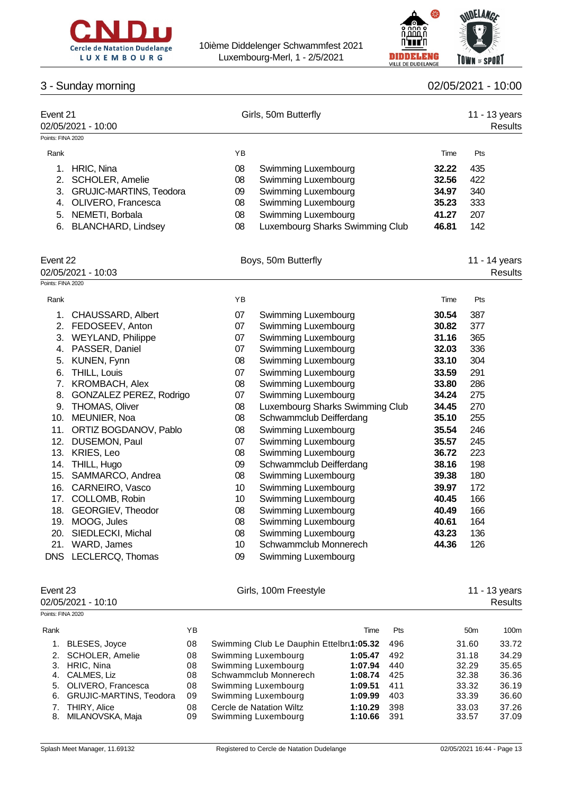



# 3 - Sunday morning 02/05/2021 - 10:000 02/05/2021 - 10:000 02/05/2021 - 10:000 02/05/2021 - 10:000 02/05/2021 - 10:000 02/05/2021 - 10:000 02/05/2021 - 10:000 02/05/2021 - 10:000 02/05/2021 - 10:000 02/05/2021 - 10:000 02/

|  | 02/05/2021 |  | 10:00 |  |
|--|------------|--|-------|--|
|  |            |  |       |  |

| Event 21          | 02/05/2021 - 10:00             |    | Girls, 50m Butterfly            |       | 11 - 13 years<br>Results |
|-------------------|--------------------------------|----|---------------------------------|-------|--------------------------|
| Points: FINA 2020 |                                |    |                                 |       |                          |
| Rank              |                                | YB |                                 | Time  | Pts                      |
| 1.                | HRIC, Nina                     | 08 | Swimming Luxembourg             | 32.22 | 435                      |
| 2.                | <b>SCHOLER, Amelie</b>         | 08 | Swimming Luxembourg             | 32.56 | 422                      |
| 3.                | <b>GRUJIC-MARTINS, Teodora</b> | 09 | Swimming Luxembourg             | 34.97 | 340                      |
| 4.                | OLIVERO, Francesca             | 08 | Swimming Luxembourg             | 35.23 | 333                      |
| 5.                | NEMETI, Borbala                | 08 | Swimming Luxembourg             | 41.27 | 207                      |
| 6.                | <b>BLANCHARD, Lindsey</b>      | 08 | Luxembourg Sharks Swimming Club | 46.81 | 142                      |
| Event 22          |                                |    | Boys, 50m Butterfly             |       | 11 - 14 years            |
|                   | 02/05/2021 - 10:03             |    |                                 |       | Results                  |
| Points: FINA 2020 |                                |    |                                 |       |                          |
| Rank              |                                | YB |                                 | Time  | Pts                      |
| 1.                | CHAUSSARD, Albert              | 07 | Swimming Luxembourg             | 30.54 | 387                      |
| 2.                | FEDOSEEV, Anton                | 07 | Swimming Luxembourg             | 30.82 | 377                      |
| 3.                | <b>WEYLAND, Philippe</b>       | 07 | Swimming Luxembourg             | 31.16 | 365                      |
| 4.                | PASSER, Daniel                 | 07 | Swimming Luxembourg             | 32.03 | 336                      |
| 5.                | KUNEN, Fynn                    | 08 | Swimming Luxembourg             | 33.10 | 304                      |
| 6.                | THILL, Louis                   | 07 | Swimming Luxembourg             | 33.59 | 291                      |
| 7.                | KROMBACH, Alex                 | 08 | Swimming Luxembourg             | 33.80 | 286                      |
| 8.                | GONZALEZ PEREZ, Rodrigo        | 07 | Swimming Luxembourg             | 34.24 | 275                      |
| 9.                | <b>THOMAS, Oliver</b>          | 08 | Luxembourg Sharks Swimming Club | 34.45 | 270                      |
| 10.               | MEUNIER, Noa                   | 08 | Schwammclub Deifferdang         | 35.10 | 255                      |
| 11.               | ORTIZ BOGDANOV, Pablo          | 08 | Swimming Luxembourg             | 35.54 | 246                      |
| 12.               | DUSEMON, Paul                  | 07 | Swimming Luxembourg             | 35.57 | 245                      |
|                   | 13. KRIES, Leo                 | 08 | Swimming Luxembourg             | 36.72 | 223                      |
|                   | 14. THILL, Hugo                | 09 | Schwammclub Deifferdang         | 38.16 | 198                      |
| 15.               | SAMMARCO, Andrea               | 08 | Swimming Luxembourg             | 39.38 | 180                      |
| 16.               | CARNEIRO, Vasco                | 10 | Swimming Luxembourg             | 39.97 | 172                      |
|                   | 17. COLLOMB, Robin             | 10 | Swimming Luxembourg             | 40.45 | 166                      |
|                   | 18. GEORGIEV, Theodor          | 08 | Swimming Luxembourg             | 40.49 | 166                      |
|                   | 19. MOOG, Jules                | 08 | Swimming Luxembourg             | 40.61 | 164                      |
|                   | 20. SIEDLECKI, Michal          | 08 | Swimming Luxembourg             | 43.23 | 136                      |
|                   | 21. WARD, James                | 10 | Schwammclub Monnerech           | 44.36 | 126                      |
|                   | DNS LECLERCQ, Thomas           | 09 | Swimming Luxembourg             |       |                          |
| Event 23          |                                |    | Girls, 100m Freestyle           |       | 11 - 13 years            |
|                   | 02/05/2021 - 10:10             |    |                                 |       | Results                  |
| Points: FINA 2020 |                                |    |                                 |       |                          |
| Ponk              | VR                             |    | Time<br>D <sub>tc</sub>         |       | 50m<br>100m              |

| Rank |                                            | ΥB       |                                                 | Time               | <b>Pts</b> | 50 <sub>m</sub> | 100m           |
|------|--------------------------------------------|----------|-------------------------------------------------|--------------------|------------|-----------------|----------------|
|      | BLESES, Joyce                              | 08       | Swimming Club Le Dauphin Ettelbrt1:05.32        |                    | 496        | 31.60           | 33.72          |
|      | 2. SCHOLER, Amelie                         | 08       | Swimming Luxembourg                             | 1:05.47            | 492        | 31.18           | 34.29          |
|      | 3. HRIC, Nina                              | 08       | Swimming Luxembourg                             | 1:07.94            | 440        | 32.29           | 35.65          |
|      | 4. CALMES, Liz                             | 08       | Schwammclub Monnerech                           | 1:08.74            | 425        | 32.38           | 36.36          |
|      | 5. OLIVERO, Francesca                      | 08       | Swimming Luxembourg                             | 1:09.51            | 411        | 33.32           | 36.19          |
|      | 6. GRUJIC-MARTINS, Teodora                 | 09       | Swimming Luxembourg                             | 1:09.99            | 403        | 33.39           | 36.60          |
|      | <b>THIRY, Alice</b><br>8. MILANOVSKA, Maja | 08<br>09 | Cercle de Natation Wiltz<br>Swimming Luxembourg | 1:10.29<br>1:10.66 | 398<br>391 | 33.03<br>33.57  | 37.26<br>37.09 |
|      |                                            |          |                                                 |                    |            |                 |                |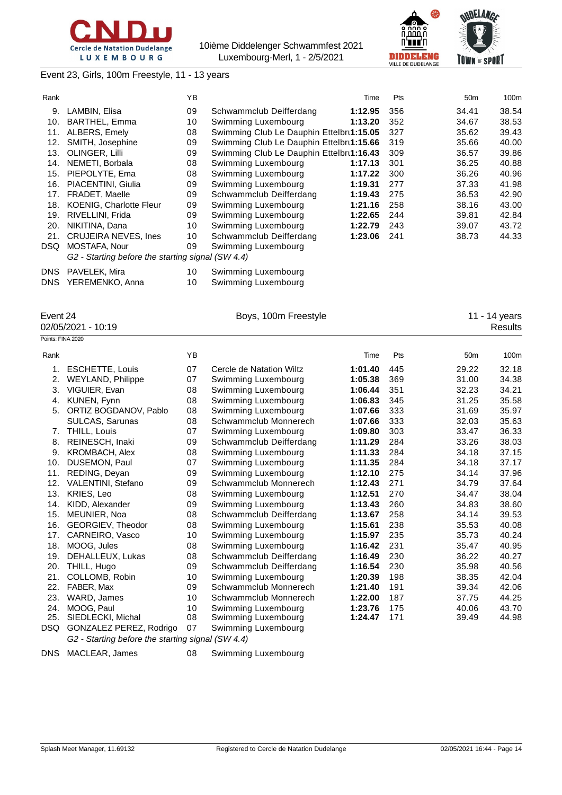





Event 23, Girls, 100m Freestyle, 11 - 13 years

| Rank       |                                                   | YB |                                          | Time    | Pts | 50 <sub>m</sub> | 100m  |
|------------|---------------------------------------------------|----|------------------------------------------|---------|-----|-----------------|-------|
| 9.         | LAMBIN, Elisa                                     | 09 | Schwammclub Deifferdang                  | 1:12.95 | 356 | 34.41           | 38.54 |
| 10.        | <b>BARTHEL, Emma</b>                              | 10 | Swimming Luxembourg                      | 1:13.20 | 352 | 34.67           | 38.53 |
| 11.        | ALBERS, Emely                                     | 08 | Swimming Club Le Dauphin Ettelbru1:15.05 |         | 327 | 35.62           | 39.43 |
| 12.        | SMITH, Josephine                                  | 09 | Swimming Club Le Dauphin Ettelbru1:15.66 |         | 319 | 35.66           | 40.00 |
| 13.        | OLINGER, Lilli                                    | 09 | Swimming Club Le Dauphin Ettelbru1:16.43 |         | 309 | 36.57           | 39.86 |
| 14.        | NEMETI, Borbala                                   | 08 | Swimming Luxembourg                      | 1:17.13 | 301 | 36.25           | 40.88 |
| 15.        | PIEPOLYTE, Ema                                    | 08 | Swimming Luxembourg                      | 1:17.22 | 300 | 36.26           | 40.96 |
| 16.        | PIACENTINI, Giulia                                | 09 | Swimming Luxembourg                      | 1:19.31 | 277 | 37.33           | 41.98 |
| 17.        | <b>FRADET, Maelle</b>                             | 09 | Schwammclub Deifferdang                  | 1:19.43 | 275 | 36.53           | 42.90 |
| 18.        | <b>KOENIG, Charlotte Fleur</b>                    | 09 | Swimming Luxembourg                      | 1:21.16 | 258 | 38.16           | 43.00 |
| 19.        | RIVELLINI, Frida                                  | 09 | Swimming Luxembourg                      | 1:22.65 | 244 | 39.81           | 42.84 |
| 20.        | NIKITINA, Dana                                    | 10 | Swimming Luxembourg                      | 1:22.79 | 243 | 39.07           | 43.72 |
| 21.        | <b>CRUJEIRA NEVES, Ines</b>                       | 10 | Schwammclub Deifferdang                  | 1:23.06 | 241 | 38.73           | 44.33 |
| <b>DSQ</b> | MOSTAFA, Nour                                     | 09 | Swimming Luxembourg                      |         |     |                 |       |
|            | G2 - Starting before the starting signal (SW 4.4) |    |                                          |         |     |                 |       |
| <b>DNS</b> | PAVELEK, Mira                                     | 10 | Swimming Luxembourg                      |         |     |                 |       |
| <b>DNS</b> | YEREMENKO, Anna                                   | 10 | Swimming Luxembourg                      |         |     |                 |       |

02/05/2021 - 10:19

Event 24 **Boys, 100m Freestyle** 11 - 14 years 100m Soys, 100m Freestyle 11 - 14 years 11 - 14 years 02/05/2021 - 10:19

| Points: FINA 2020 |                                                   |    |                          |         |     |                 |       |
|-------------------|---------------------------------------------------|----|--------------------------|---------|-----|-----------------|-------|
| Rank              |                                                   | YB |                          | Time    | Pts | 50 <sub>m</sub> | 100m  |
| 1.                | <b>ESCHETTE, Louis</b>                            | 07 | Cercle de Natation Wiltz | 1:01.40 | 445 | 29.22           | 32.18 |
| 2.                | <b>WEYLAND, Philippe</b>                          | 07 | Swimming Luxembourg      | 1:05.38 | 369 | 31.00           | 34.38 |
| 3.                | VIGUIER, Evan                                     | 08 | Swimming Luxembourg      | 1:06.44 | 351 | 32.23           | 34.21 |
| 4.                | KUNEN, Fynn                                       | 08 | Swimming Luxembourg      | 1:06.83 | 345 | 31.25           | 35.58 |
| 5.                | ORTIZ BOGDANOV, Pablo                             | 08 | Swimming Luxembourg      | 1:07.66 | 333 | 31.69           | 35.97 |
|                   | <b>SULCAS, Sarunas</b>                            | 08 | Schwammclub Monnerech    | 1:07.66 | 333 | 32.03           | 35.63 |
| 7.                | THILL, Louis                                      | 07 | Swimming Luxembourg      | 1:09.80 | 303 | 33.47           | 36.33 |
| 8.                | REINESCH, Inaki                                   | 09 | Schwammclub Deifferdang  | 1:11.29 | 284 | 33.26           | 38.03 |
| 9.                | <b>KROMBACH, Alex</b>                             | 08 | Swimming Luxembourg      | 1:11.33 | 284 | 34.18           | 37.15 |
| 10.               | DUSEMON, Paul                                     | 07 | Swimming Luxembourg      | 1:11.35 | 284 | 34.18           | 37.17 |
| 11.               | REDING, Deyan                                     | 09 | Swimming Luxembourg      | 1:12.10 | 275 | 34.14           | 37.96 |
| 12.               | VALENTINI, Stefano                                | 09 | Schwammclub Monnerech    | 1:12.43 | 271 | 34.79           | 37.64 |
| 13.               | KRIES, Leo                                        | 08 | Swimming Luxembourg      | 1:12.51 | 270 | 34.47           | 38.04 |
| 14.               | KIDD, Alexander                                   | 09 | Swimming Luxembourg      | 1:13.43 | 260 | 34.83           | 38.60 |
| 15.               | MEUNIER, Noa                                      | 08 | Schwammclub Deifferdang  | 1:13.67 | 258 | 34.14           | 39.53 |
| 16.               | GEORGIEV, Theodor                                 | 08 | Swimming Luxembourg      | 1:15.61 | 238 | 35.53           | 40.08 |
| 17.               | CARNEIRO, Vasco                                   | 10 | Swimming Luxembourg      | 1:15.97 | 235 | 35.73           | 40.24 |
| 18.               | MOOG, Jules                                       | 08 | Swimming Luxembourg      | 1:16.42 | 231 | 35.47           | 40.95 |
| 19.               | DEHALLEUX, Lukas                                  | 08 | Schwammclub Deifferdang  | 1:16.49 | 230 | 36.22           | 40.27 |
| 20.               | THILL, Hugo                                       | 09 | Schwammclub Deifferdang  | 1:16.54 | 230 | 35.98           | 40.56 |
| 21.               | COLLOMB, Robin                                    | 10 | Swimming Luxembourg      | 1:20.39 | 198 | 38.35           | 42.04 |
| 22.               | FABER, Max                                        | 09 | Schwammclub Monnerech    | 1:21.40 | 191 | 39.34           | 42.06 |
| 23.               | WARD, James                                       | 10 | Schwammclub Monnerech    | 1:22.00 | 187 | 37.75           | 44.25 |
| 24.               | MOOG, Paul                                        | 10 | Swimming Luxembourg      | 1:23.76 | 175 | 40.06           | 43.70 |
| 25.               | SIEDLECKI, Michal                                 | 08 | Swimming Luxembourg      | 1:24.47 | 171 | 39.49           | 44.98 |
| DSQ               | GONZALEZ PEREZ, Rodrigo                           | 07 | Swimming Luxembourg      |         |     |                 |       |
|                   | G2 - Starting before the starting signal (SW 4.4) |    |                          |         |     |                 |       |

DNS MACLEAR, James 08 Swimming Luxembourg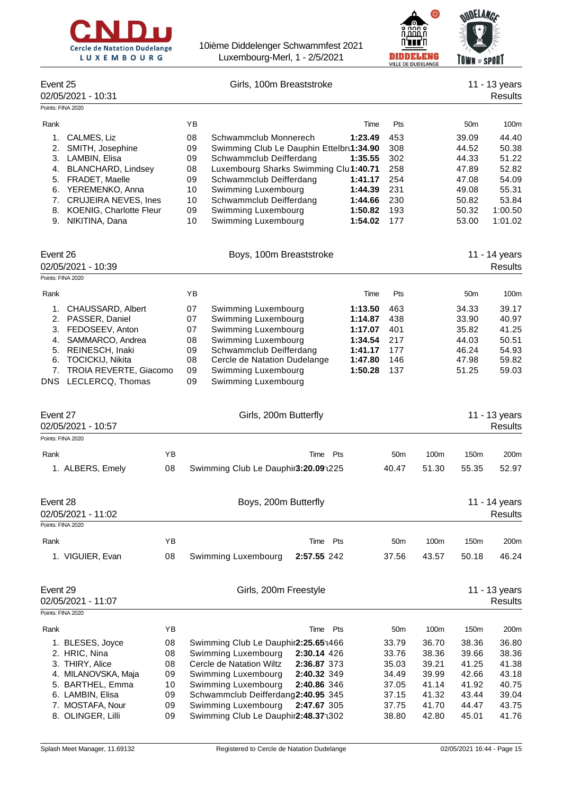



|                                                      |          |                                                                                          | VILLE DE DUDELANGE               | IUMN " JFUNI    |                          |
|------------------------------------------------------|----------|------------------------------------------------------------------------------------------|----------------------------------|-----------------|--------------------------|
| Event 25<br>02/05/2021 - 10:31                       |          | Girls, 100m Breaststroke                                                                 |                                  |                 | 11 - 13 years<br>Results |
| Points: FINA 2020                                    |          |                                                                                          |                                  |                 |                          |
| Rank                                                 |          | YB<br>Time                                                                               | Pts                              | 50 <sub>m</sub> | 100m                     |
| CALMES, Liz<br>1.                                    |          | 08<br>1:23.49<br>Schwammclub Monnerech                                                   | 453                              | 39.09           | 44.40                    |
| 2.<br>SMITH, Josephine                               |          | 09<br>Swimming Club Le Dauphin Ettelbru1:34.90                                           | 308                              | 44.52           | 50.38                    |
| 3. LAMBIN, Elisa                                     |          | 09<br>Schwammclub Deifferdang<br>1:35.55                                                 | 302                              | 44.33           | 51.22                    |
| 4. BLANCHARD, Lindsey<br>5. FRADET, Maelle           |          | 08<br>Luxembourg Sharks Swimming Clul1:40.71<br>09<br>Schwammclub Deifferdang<br>1:41.17 | 258<br>254                       | 47.89<br>47.08  | 52.82<br>54.09           |
| YEREMENKO, Anna<br>6.                                |          | 10<br>Swimming Luxembourg<br>1:44.39                                                     | 231                              | 49.08           | 55.31                    |
| <b>CRUJEIRA NEVES, Ines</b><br>7.                    |          | 10<br>Schwammclub Deifferdang<br>1:44.66                                                 | 230                              | 50.82           | 53.84                    |
| 8. KOENIG, Charlotte Fleur                           |          | 09<br>Swimming Luxembourg<br>1:50.82                                                     | 193                              | 50.32           | 1:00.50                  |
| 9. NIKITINA, Dana                                    |          | 10<br>Swimming Luxembourg<br>1:54.02                                                     | 177                              | 53.00           | 1:01.02                  |
| Event 26                                             |          | Boys, 100m Breaststroke                                                                  |                                  |                 | 11 - 14 years            |
| 02/05/2021 - 10:39<br>Points: FINA 2020              |          |                                                                                          |                                  |                 | Results                  |
| Rank                                                 |          | YB<br>Time                                                                               | Pts                              | 50 <sub>m</sub> | 100m                     |
| 1. CHAUSSARD, Albert                                 |          | 07<br>1:13.50<br>Swimming Luxembourg                                                     | 463                              | 34.33           | 39.17                    |
| 2. PASSER, Daniel                                    |          | 07<br>Swimming Luxembourg<br>1:14.87                                                     | 438                              | 33.90           | 40.97                    |
| 3. FEDOSEEV, Anton                                   |          | Swimming Luxembourg<br>07<br>1:17.07                                                     | 401                              | 35.82           | 41.25                    |
| 4. SAMMARCO, Andrea                                  |          | 08<br>Swimming Luxembourg<br>1:34.54                                                     | 217                              | 44.03           | 50.51                    |
| 5. REINESCH, Inaki                                   |          | 09<br>Schwammclub Deifferdang<br>1:41.17                                                 | 177                              | 46.24           | 54.93                    |
| TOCICKIJ, Nikita<br>6.                               |          | 08<br>Cercle de Natation Dudelange<br>1:47.80                                            | 146                              | 47.98           | 59.82                    |
| TROIA REVERTE, Giacomo<br>7.<br>DNS LECLERCQ, Thomas |          | 09<br>Swimming Luxembourg<br>1:50.28<br>09<br>Swimming Luxembourg                        | 137                              | 51.25           | 59.03                    |
| Event 27<br>02/05/2021 - 10:57                       |          | Girls, 200m Butterfly                                                                    |                                  |                 | 11 - 13 years<br>Results |
| Points: FINA 2020                                    |          |                                                                                          |                                  |                 |                          |
| Rank                                                 | YB       | Time Pts                                                                                 | 100m<br>50 <sub>m</sub>          | 150m            | 200m                     |
| 1. ALBERS, Emely                                     | 08       | Swimming Club Le Dauphir3:20.09 (225                                                     | 40.47<br>51.30                   | 55.35           | 52.97                    |
| Event 28                                             |          | Boys, 200m Butterfly                                                                     |                                  |                 | 11 - 14 years            |
| 02/05/2021 - 11:02                                   |          |                                                                                          |                                  |                 | Results                  |
| Points: FINA 2020                                    |          |                                                                                          |                                  |                 |                          |
| Rank                                                 | YB       | Time Pts                                                                                 | 50 <sub>m</sub><br>100m          | 150m            | 200m                     |
| 1. VIGUIER, Evan                                     | 08       | 2:57.55 242<br>Swimming Luxembourg                                                       | 37.56<br>43.57                   | 50.18           | 46.24                    |
| Event 29                                             |          | Girls, 200m Freestyle                                                                    |                                  |                 | 11 - 13 years            |
| 02/05/2021 - 11:07                                   |          |                                                                                          |                                  |                 | Results                  |
| Points: FINA 2020                                    |          |                                                                                          |                                  |                 |                          |
| Rank                                                 | YB       | Time Pts                                                                                 | 50 <sub>m</sub><br>100m          | 150m            | 200m                     |
| 1. BLESES, Joyce                                     | 08       | Swimming Club Le Dauphir2:25.65 <sup>-1466</sup>                                         | 33.79<br>36.70                   | 38.36           | 36.80                    |
| 2. HRIC, Nina                                        | 08       | Swimming Luxembourg<br>2:30.14 426                                                       | 33.76<br>38.36                   | 39.66           | 38.36                    |
| 3. THIRY, Alice                                      | 08       | Cercle de Natation Wiltz<br>2:36.87 373                                                  | 35.03<br>39.21                   | 41.25           | 41.38                    |
| 4. MILANOVSKA, Maja<br>5. BARTHEL, Emma              | 09<br>10 | Swimming Luxembourg<br>2:40.32 349<br>Swimming Luxembourg<br>2:40.86 346                 | 34.49<br>39.99<br>41.14<br>37.05 | 42.66<br>41.92  | 43.18<br>40.75           |
| 6. LAMBIN, Elisa                                     | 09       | Schwammclub Deifferdang2:40.95 345                                                       | 37.15<br>41.32                   | 43.44           | 39.04                    |
| 7. MOSTAFA, Nour                                     | 09       | Swimming Luxembourg<br>2:47.67 305                                                       | 37.75<br>41.70                   | 44.47           | 43.75                    |
| 8. OLINGER, Lilli                                    | 09       | Swimming Club Le Dauphir2:48.37 1302                                                     | 38.80<br>42.80                   | 45.01           | 41.76                    |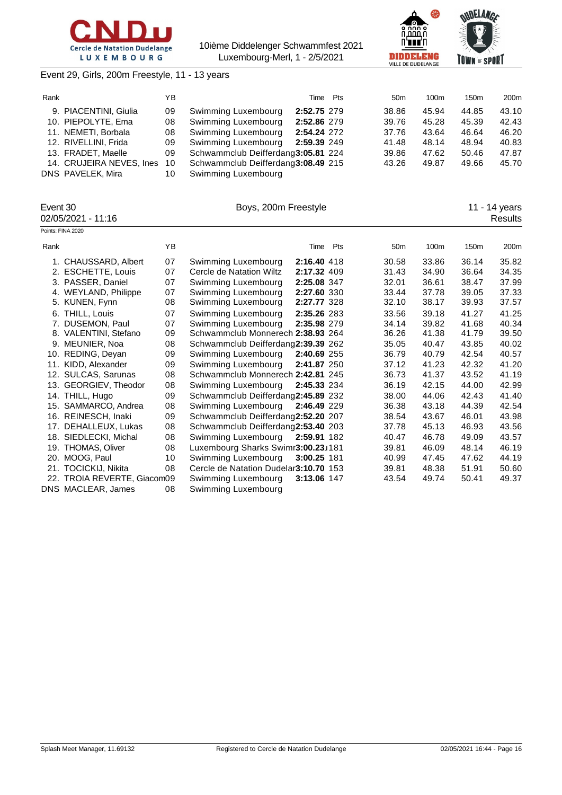



## Event 29, Girls, 200m Freestyle, 11 - 13 years

| Rank |                          | YΒ |                                    | Time        | Pts | 50 <sub>m</sub> | 100m  | 150 <sub>m</sub> | 200 <sub>m</sub> |
|------|--------------------------|----|------------------------------------|-------------|-----|-----------------|-------|------------------|------------------|
|      | 9. PIACENTINI, Giulia    | 09 | Swimming Luxembourg                | 2:52.75 279 |     | 38.86           | 45.94 | 44.85            | 43.10            |
|      | 10. PIEPOLYTE, Ema       | 08 | Swimming Luxembourg                | 2:52.86 279 |     | 39.76           | 45.28 | 45.39            | 42.43            |
|      | 11. NEMETI, Borbala      | 08 | Swimming Luxembourg                | 2:54.24 272 |     | 37.76           | 43.64 | 46.64            | 46.20            |
|      | 12. RIVELLINI, Frida     | 09 | Swimming Luxembourg                | 2:59.39 249 |     | 41.48           | 48.14 | 48.94            | 40.83            |
|      | 13. FRADET, Maelle       | 09 | Schwammclub Deifferdang3:05.81 224 |             |     | 39.86           | 47.62 | 50.46            | 47.87            |
|      | 14. CRUJEIRA NEVES, Ines | 10 | Schwammclub Deifferdang3:08.49 215 |             |     | 43.26           | 49.87 | 49.66            | 45.70            |
|      | DNS PAVELEK, Mira        | 10 | Swimming Luxembourg                |             |     |                 |       |                  |                  |

|      | Event 30<br>02/05/2021 - 11:16 |    | Boys, 200m Freestyle                   |             |                 |       |       | 11 - 14 years<br>Results |
|------|--------------------------------|----|----------------------------------------|-------------|-----------------|-------|-------|--------------------------|
|      | Points: FINA 2020              |    |                                        |             |                 |       |       |                          |
| Rank |                                | YB |                                        | Time Pts    | 50 <sub>m</sub> | 100m  | 150m  | 200m                     |
|      | 1. CHAUSSARD, Albert           | 07 | Swimming Luxembourg                    | 2:16.40 418 | 30.58           | 33.86 | 36.14 | 35.82                    |
|      | 2. ESCHETTE, Louis             | 07 | Cercle de Natation Wiltz               | 2:17.32 409 | 31.43           | 34.90 | 36.64 | 34.35                    |
|      | 3. PASSER, Daniel              | 07 | Swimming Luxembourg                    | 2:25.08 347 | 32.01           | 36.61 | 38.47 | 37.99                    |
|      | 4. WEYLAND, Philippe           | 07 | Swimming Luxembourg                    | 2:27.60 330 | 33.44           | 37.78 | 39.05 | 37.33                    |
|      | 5. KUNEN, Fynn                 | 08 | Swimming Luxembourg                    | 2:27.77 328 | 32.10           | 38.17 | 39.93 | 37.57                    |
|      | 6. THILL, Louis                | 07 | Swimming Luxembourg                    | 2:35.26 283 | 33.56           | 39.18 | 41.27 | 41.25                    |
|      | 7. DUSEMON, Paul               | 07 | Swimming Luxembourg                    | 2:35.98 279 | 34.14           | 39.82 | 41.68 | 40.34                    |
|      | 8. VALENTINI, Stefano          | 09 | Schwammclub Monnerech 2:38.93 264      |             | 36.26           | 41.38 | 41.79 | 39.50                    |
|      | 9. MEUNIER, Noa                | 08 | Schwammclub Deifferdang2:39.39 262     |             | 35.05           | 40.47 | 43.85 | 40.02                    |
|      | 10. REDING, Deyan              | 09 | Swimming Luxembourg                    | 2:40.69 255 | 36.79           | 40.79 | 42.54 | 40.57                    |
|      | 11. KIDD, Alexander            | 09 | Swimming Luxembourg                    | 2:41.87 250 | 37.12           | 41.23 | 42.32 | 41.20                    |
|      | 12. SULCAS, Sarunas            | 08 | Schwammclub Monnerech 2:42.81 245      |             | 36.73           | 41.37 | 43.52 | 41.19                    |
|      | 13. GEORGIEV, Theodor          | 08 | Swimming Luxembourg                    | 2:45.33 234 | 36.19           | 42.15 | 44.00 | 42.99                    |
|      | 14. THILL, Hugo                | 09 | Schwammclub Deifferdang2:45.89 232     |             | 38.00           | 44.06 | 42.43 | 41.40                    |
|      | 15. SAMMARCO, Andrea           | 08 | Swimming Luxembourg                    | 2:46.49 229 | 36.38           | 43.18 | 44.39 | 42.54                    |
|      | 16. REINESCH, Inaki            | 09 | Schwammclub Deifferdang2:52.20 207     |             | 38.54           | 43.67 | 46.01 | 43.98                    |
|      | 17. DEHALLEUX, Lukas           | 08 | Schwammclub Deifferdang2:53.40 203     |             | 37.78           | 45.13 | 46.93 | 43.56                    |
|      | 18. SIEDLECKI, Michal          | 08 | Swimming Luxembourg                    | 2:59.91 182 | 40.47           | 46.78 | 49.09 | 43.57                    |
|      | 19. THOMAS, Oliver             | 08 | Luxembourg Sharks Swimr3:00.23J181     |             | 39.81           | 46.09 | 48.14 | 46.19                    |
|      | 20. MOOG, Paul                 | 10 | Swimming Luxembourg                    | 3:00.25 181 | 40.99           | 47.45 | 47.62 | 44.19                    |
|      | 21. TOCICKIJ, Nikita           | 08 | Cercle de Natation Dudelar 3:10.70 153 |             | 39.81           | 48.38 | 51.91 | 50.60                    |
|      | 22. TROIA REVERTE, Giacom09    |    | Swimming Luxembourg                    | 3:13.06 147 | 43.54           | 49.74 | 50.41 | 49.37                    |
|      | DNS MACLEAR, James             | 08 | Swimming Luxembourg                    |             |                 |       |       |                          |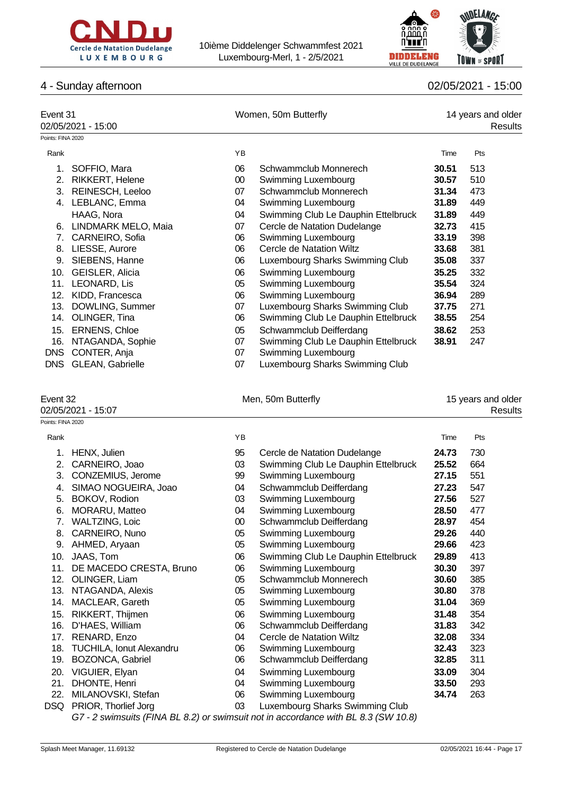



# 4 - Sunday afternoon 02/05/2021 - 15:00

| Event 31<br>02/05/2021 - 15:00 |                         |    | Women, 50m Butterfly                | 14 years and older<br>Results |     |  |
|--------------------------------|-------------------------|----|-------------------------------------|-------------------------------|-----|--|
| Points: FINA 2020              |                         |    |                                     |                               |     |  |
| Rank                           |                         | YB |                                     | Time                          | Pts |  |
| 1.                             | SOFFIO, Mara            | 06 | Schwammclub Monnerech               | 30.51                         | 513 |  |
| 2.                             | <b>RIKKERT, Helene</b>  | 00 | Swimming Luxembourg                 | 30.57                         | 510 |  |
| 3.                             | <b>REINESCH, Leeloo</b> | 07 | Schwammclub Monnerech               | 31.34                         | 473 |  |
|                                | 4. LEBLANC, Emma        | 04 | Swimming Luxembourg                 | 31.89                         | 449 |  |
|                                | HAAG, Nora              | 04 | Swimming Club Le Dauphin Ettelbruck | 31.89                         | 449 |  |
| 6.                             | LINDMARK MELO, Maia     | 07 | Cercle de Natation Dudelange        | 32.73                         | 415 |  |
| 7.                             | CARNEIRO, Sofia         | 06 | Swimming Luxembourg                 | 33.19                         | 398 |  |
| 8.                             | LIESSE, Aurore          | 06 | Cercle de Natation Wiltz            | 33.68                         | 381 |  |
| 9.                             | SIEBENS, Hanne          | 06 | Luxembourg Sharks Swimming Club     | 35.08                         | 337 |  |
| 10.                            | GEISLER, Alicia         | 06 | Swimming Luxembourg                 | 35.25                         | 332 |  |
| 11.                            | LEONARD, Lis            | 05 | Swimming Luxembourg                 | 35.54                         | 324 |  |
| 12.                            | KIDD, Francesca         | 06 | Swimming Luxembourg                 | 36.94                         | 289 |  |
| 13.                            | DOWLING, Summer         | 07 | Luxembourg Sharks Swimming Club     | 37.75                         | 271 |  |
| 14.                            | OLINGER, Tina           | 06 | Swimming Club Le Dauphin Ettelbruck | 38.55                         | 254 |  |
| 15.                            | <b>ERNENS, Chloe</b>    | 05 | Schwammclub Deifferdang             | 38.62                         | 253 |  |
| 16.                            | NTAGANDA, Sophie        | 07 | Swimming Club Le Dauphin Ettelbruck | 38.91                         | 247 |  |
| <b>DNS</b>                     | CONTER, Anja            | 07 | Swimming Luxembourg                 |                               |     |  |

DNS GLEAN, Gabrielle 1980 07 Luxembourg Sharks Swimming Club

Points: FINA 2020

| 느៴◡៲៲៶◡୵           |  |
|--------------------|--|
| 02/05/2021 - 15:07 |  |

|  |  | Men, 50m Butterfly |
|--|--|--------------------|
|--|--|--------------------|

event 32<br>
Event 30m Butterfly 15 years and older<br>Results 02/05/2021 - 15:07 Results

| Rank |                                 | YB     |                                     | Time  | Pts |
|------|---------------------------------|--------|-------------------------------------|-------|-----|
| 1.   | HENX, Julien                    | 95     | Cercle de Natation Dudelange        | 24.73 | 730 |
| 2.   | CARNEIRO, Joao                  | 03     | Swimming Club Le Dauphin Ettelbruck | 25.52 | 664 |
| 3.   | CONZEMIUS, Jerome               | 99     | Swimming Luxembourg                 | 27.15 | 551 |
| 4.   | SIMAO NOGUEIRA, Joao            | 04     | Schwammclub Deifferdang             | 27.23 | 547 |
| 5.   | BOKOV, Rodion                   | 03     | Swimming Luxembourg                 | 27.56 | 527 |
| 6.   | MORARU, Matteo                  | 04     | Swimming Luxembourg                 | 28.50 | 477 |
| 7.   | <b>WALTZING, Loic</b>           | $00\,$ | Schwammclub Deifferdang             | 28.97 | 454 |
| 8.   | CARNEIRO, Nuno                  | 05     | Swimming Luxembourg                 | 29.26 | 440 |
| 9.   | AHMED, Aryaan                   | 05     | Swimming Luxembourg                 | 29.66 | 423 |
| 10.  | JAAS, Tom                       | 06     | Swimming Club Le Dauphin Ettelbruck | 29.89 | 413 |
| 11.  | DE MACEDO CRESTA, Bruno         | 06     | Swimming Luxembourg                 | 30.30 | 397 |
| 12.  | OLINGER, Liam                   | 05     | Schwammclub Monnerech               | 30.60 | 385 |
| 13.  | NTAGANDA, Alexis                | 05     | Swimming Luxembourg                 | 30.80 | 378 |
| 14.  | MACLEAR, Gareth                 | 05     | Swimming Luxembourg                 | 31.04 | 369 |
| 15.  | RIKKERT, Thijmen                | 06     | Swimming Luxembourg                 | 31.48 | 354 |
| 16.  | D'HAES, William                 | 06     | Schwammclub Deifferdang             | 31.83 | 342 |
| 17.  | RENARD, Enzo                    | 04     | Cercle de Natation Wiltz            | 32.08 | 334 |
| 18.  | <b>TUCHILA, Ionut Alexandru</b> | 06     | Swimming Luxembourg                 | 32.43 | 323 |
| 19.  | BOZONCA, Gabriel                | 06     | Schwammclub Deifferdang             | 32.85 | 311 |
| 20.  | VIGUIER, Elyan                  | 04     | Swimming Luxembourg                 | 33.09 | 304 |
| 21.  | DHONTE, Henri                   | 04     | Swimming Luxembourg                 | 33.50 | 293 |
| 22.  | MILANOVSKI, Stefan              | 06     | Swimming Luxembourg                 | 34.74 | 263 |
| DSQ  | PRIOR, Thorlief Jorg            | 03     | Luxembourg Sharks Swimming Club     |       |     |

*G7 - 2 swimsuits (FINA BL 8.2) or swimsuit not in accordance with BL 8.3 (SW 10.8)*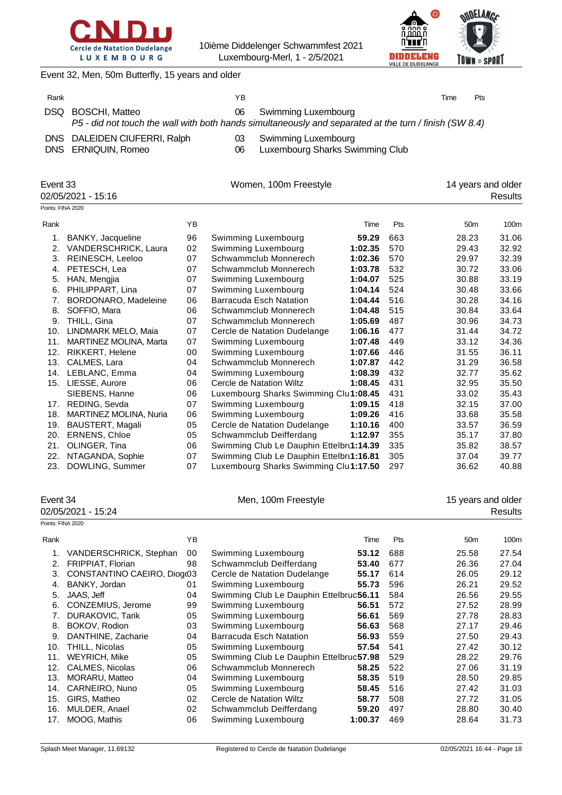



Women, 100m Freestyle 14 years and older

Event 32, Men, 50m Butterfly, 15 years and older

| Rank |                                                     | ΥB       |                                                                                                                               | Time | Pts |
|------|-----------------------------------------------------|----------|-------------------------------------------------------------------------------------------------------------------------------|------|-----|
| DSQ  | BOSCHI, Matteo                                      | 06       | Swimming Luxembourg<br>P5 - did not touch the wall with both hands simultaneously and separated at the turn / finish (SW 8.4) |      |     |
|      | DNS DALEIDEN CIUFERRI, Ralph<br>DNS ERNIQUIN, Romeo | 03<br>06 | Swimming Luxembourg<br>Luxembourg Sharks Swimming Club                                                                        |      |     |

|  | Event 33 |  |  |  |
|--|----------|--|--|--|
|  |          |  |  |  |

02/05/2021 - 15:16 Results

Points: FINA 2020 Rank **8** Time Pts 50m 100m 1. BANKY, Jacqueline 96 Swimming Luxembourg **59.29** 663 28.23 31.06 2. VANDERSCHRICK, Laura 02 Swimming Luxembourg **1:02.35** 570 29.43 32.92 3. REINESCH, Leeloo 07 Schwammclub Monnerech **1:02.36** 570 29.97 32.39 4. PETESCH, Lea 07 Schwammclub Monnerech **1:03.78** 532 30.72 33.06 5. HAN, Mengjia 07 Swimming Luxembourg **1:04.07** 525 30.88 33.19 6. PHILIPPART, Lina 07 Swimming Luxembourg **1:04.14** 524 30.48 33.66 7. BORDONARO, Madeleine 06 Barracuda Esch Natation **1:04.44** 516 30.28 34.16 8. SOFFIO, Mara 06 Schwammclub Monnerech **1:04.48** 515 30.84 33.64 9. THILL, Gina 07 Schwammclub Monnerech **1:05.69** 487 30.96 34.73 10. LINDMARK MELO, Maia 07 Cercle de Natation Dudelange **1:06.16** 477 31.44 34.72 11. MARTINEZ MOLINA, Marta 07 Swimming Luxembourg **1:07.48** 449 33.12 34.36 12. RIKKERT, Helene 00 Swimming Luxembourg **1:07.66** 446 31.55 36.11 13. CALMES, Lara 04 Schwammclub Monnerech **1:07.87** 442 31.29 36.58 14. LEBLANC, Emma 04 Swimming Luxembourg **1:08.39** 432 32.77 35.62 15. LIESSE, Aurore 06 Cercle de Natation Wiltz **1:08.45** 431 32.95 35.50 SIEBENS, Hanne **06** Luxembourg Sharks Swimming Cluit:08.45 431 33.02 35.43 17. REDING, Sevda 07 Swimming Luxembourg **1:09.15** 418 32.15 37.00 18. MARTINEZ MOLINA, Nuria 06 Swimming Luxembourg **1:09.26** 416 33.68 35.58 19. BAUSTERT, Magali 05 Cercle de Natation Dudelange **1:10.16** 400 33.57 36.59 20. ERNENS, Chloe 05 Schwammclub Deifferdang **1:12.97** 355 35.17 37.80 21. OLINGER, Tina 06 Swimming Club Le Dauphin Ettelbruck **1:14.39** 335 35.82 38.57 22. NTAGANDA, Sophie 07 Swimming Club Le Dauphin Ettelbru**1:16.81** 305 37.04 39.77 23. DOWLING, Summer 07 Luxembourg Sharks Swimming Club**1:17.50** 297 36.62 40.88

| Event 34<br>02/05/2021 - 15:24 |                             |    | Men, 100m Freestyle                     |         |     | 15 years and older | <b>Results</b> |
|--------------------------------|-----------------------------|----|-----------------------------------------|---------|-----|--------------------|----------------|
| Points: FINA 2020              |                             |    |                                         |         |     |                    |                |
| Rank                           |                             | ΥB |                                         | Time    | Pts | 50 <sub>m</sub>    | 100m           |
|                                | VANDERSCHRICK, Stephan      | 00 | Swimming Luxembourg                     | 53.12   | 688 | 25.58              | 27.54          |
| 2.                             | FRIPPIAT, Florian           | 98 | Schwammclub Deifferdang                 | 53.40   | 677 | 26.36              | 27.04          |
| 3.                             | CONSTANTINO CAEIRO, Diogr03 |    | Cercle de Natation Dudelange            | 55.17   | 614 | 26.05              | 29.12          |
| 4.                             | BANKY, Jordan               | 01 | Swimming Luxembourg                     | 55.73   | 596 | 26.21              | 29.52          |
| 5.                             | JAAS, Jeff                  | 04 | Swimming Club Le Dauphin Ettelbruc56.11 |         | 584 | 26.56              | 29.55          |
| 6.                             | CONZEMIUS, Jerome           | 99 | Swimming Luxembourg                     | 56.51   | 572 | 27.52              | 28.99          |
| 7.                             | <b>DURAKOVIC, Tarik</b>     | 05 | Swimming Luxembourg                     | 56.61   | 569 | 27.78              | 28.83          |
| 8.                             | BOKOV, Rodion               | 03 | Swimming Luxembourg                     | 56.63   | 568 | 27.17              | 29.46          |
| 9.                             | DANTHINE, Zacharie          | 04 | <b>Barracuda Esch Natation</b>          | 56.93   | 559 | 27.50              | 29.43          |
| 10.                            | THILL, Nicolas              | 05 | Swimming Luxembourg                     | 57.54   | 541 | 27.42              | 30.12          |
| 11.                            | <b>WEYRICH, Mike</b>        | 05 | Swimming Club Le Dauphin Ettelbruc57.98 |         | 529 | 28.22              | 29.76          |
| 12.                            | CALMES, Nicolas             | 06 | Schwammclub Monnerech                   | 58.25   | 522 | 27.06              | 31.19          |
| 13.                            | MORARU, Matteo              | 04 | Swimming Luxembourg                     | 58.35   | 519 | 28.50              | 29.85          |
| 14.                            | CARNEIRO, Nuno              | 05 | Swimming Luxembourg                     | 58.45   | 516 | 27.42              | 31.03          |
| 15.                            | GIRS, Matheo                | 02 | Cercle de Natation Wiltz                | 58.77   | 508 | 27.72              | 31.05          |
| 16.                            | MULDER, Anael               | 02 | Schwammclub Deifferdang                 | 59.20   | 497 | 28.80              | 30.40          |
| 17.                            | MOOG, Mathis                | 06 | Swimming Luxembourg                     | 1:00.37 | 469 | 28.64              | 31.73          |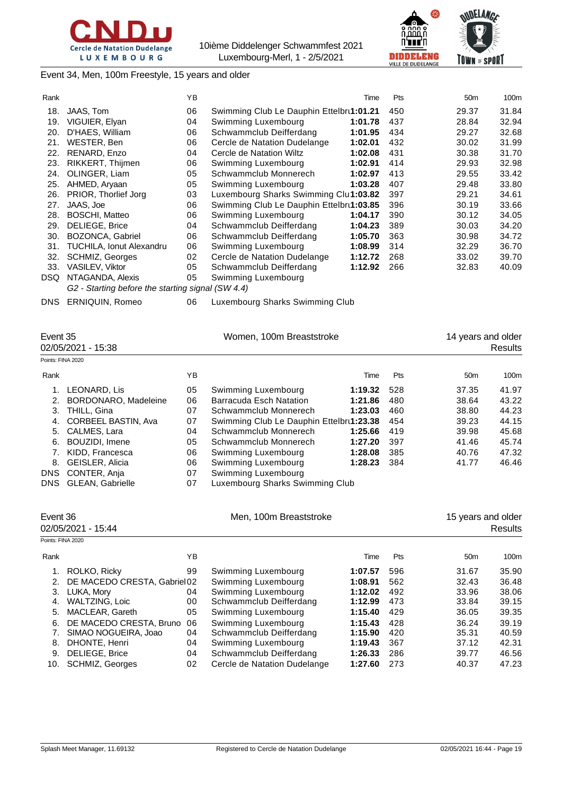



*<u>ANDELANCE</u>* TOWN of SPORT

## Event 34, Men, 100m Freestyle, 15 years and older

| Rank |                                                   | YB |                                          | Time    | Pts | 50 <sub>m</sub> | 100m  |
|------|---------------------------------------------------|----|------------------------------------------|---------|-----|-----------------|-------|
| 18.  | JAAS, Tom                                         | 06 | Swimming Club Le Dauphin Ettelbru1:01.21 |         | 450 | 29.37           | 31.84 |
| 19.  | VIGUIER, Elyan                                    | 04 | Swimming Luxembourg                      | 1:01.78 | 437 | 28.84           | 32.94 |
| 20.  | D'HAES, William                                   | 06 | Schwammclub Deifferdang                  | 1:01.95 | 434 | 29.27           | 32.68 |
| 21.  | WESTER, Ben                                       | 06 | Cercle de Natation Dudelange             | 1:02.01 | 432 | 30.02           | 31.99 |
| 22.  | RENARD, Enzo                                      | 04 | Cercle de Natation Wiltz                 | 1:02.08 | 431 | 30.38           | 31.70 |
| 23.  | RIKKERT, Thijmen                                  | 06 | Swimming Luxembourg                      | 1:02.91 | 414 | 29.93           | 32.98 |
| 24.  | OLINGER, Liam                                     | 05 | Schwammclub Monnerech                    | 1:02.97 | 413 | 29.55           | 33.42 |
| 25.  | AHMED, Aryaan                                     | 05 | Swimming Luxembourg                      | 1:03.28 | 407 | 29.48           | 33.80 |
| 26.  | PRIOR, Thorlief Jorg                              | 03 | Luxembourg Sharks Swimming Clu1:03.82    |         | 397 | 29.21           | 34.61 |
| 27.  | JAAS, Joe                                         | 06 | Swimming Club Le Dauphin Ettelbru1:03.85 |         | 396 | 30.19           | 33.66 |
| 28.  | <b>BOSCHI, Matteo</b>                             | 06 | Swimming Luxembourg                      | 1:04.17 | 390 | 30.12           | 34.05 |
| 29.  | <b>DELIEGE, Brice</b>                             | 04 | Schwammclub Deifferdang                  | 1:04.23 | 389 | 30.03           | 34.20 |
| 30.  | BOZONCA, Gabriel                                  | 06 | Schwammclub Deifferdang                  | 1:05.70 | 363 | 30.98           | 34.72 |
| 31.  | <b>TUCHILA, Ionut Alexandru</b>                   | 06 | Swimming Luxembourg                      | 1:08.99 | 314 | 32.29           | 36.70 |
| 32.  | <b>SCHMIZ, Georges</b>                            | 02 | Cercle de Natation Dudelange             | 1:12.72 | 268 | 33.02           | 39.70 |
| 33.  | <b>VASILEV, Viktor</b>                            | 05 | Schwammclub Deifferdang                  | 1:12.92 | 266 | 32.83           | 40.09 |
| DSQ. | NTAGANDA, Alexis                                  | 05 | Swimming Luxembourg                      |         |     |                 |       |
|      | G2 - Starting before the starting signal (SW 4.4) |    |                                          |         |     |                 |       |

DNS ERNIQUIN, Romeo 06 Luxembourg Sharks Swimming Club

| Event 35<br>02/05/2021 - 15:38 |                            | Women, 100m Breaststroke |                                          |         |            | 14 years and older<br>Results |       |  |
|--------------------------------|----------------------------|--------------------------|------------------------------------------|---------|------------|-------------------------------|-------|--|
| Points: FINA 2020              |                            |                          |                                          |         |            |                               |       |  |
| Rank                           |                            | ΥB                       |                                          | Time    | <b>Pts</b> | 50 <sub>m</sub>               | 100m  |  |
|                                | LEONARD, Lis               | 05                       | Swimming Luxembourg                      | 1:19.32 | 528        | 37.35                         | 41.97 |  |
| 2.                             | BORDONARO, Madeleine       | 06                       | <b>Barracuda Esch Natation</b>           | 1:21.86 | 480        | 38.64                         | 43.22 |  |
| 3.                             | THILL, Gina                | 07                       | Schwammclub Monnerech                    | 1:23.03 | 460        | 38.80                         | 44.23 |  |
| 4.                             | <b>CORBEEL BASTIN, Ava</b> | 07                       | Swimming Club Le Dauphin Ettelbru1:23.38 |         | 454        | 39.23                         | 44.15 |  |
|                                | 5. CALMES, Lara            | 04                       | Schwammclub Monnerech                    | 1:25.66 | 419        | 39.98                         | 45.68 |  |
| 6.                             | BOUZIDI, Imene             | 05                       | Schwammclub Monnerech                    | 1:27.20 | 397        | 41.46                         | 45.74 |  |
|                                | KIDD, Francesca            | 06                       | Swimming Luxembourg                      | 1:28.08 | 385        | 40.76                         | 47.32 |  |
| 8.                             | <b>GEISLER, Alicia</b>     | 06                       | Swimming Luxembourg                      | 1:28.23 | 384        | 41.77                         | 46.46 |  |
| DNS                            | CONTER, Anja               | 07                       | Swimming Luxembourg                      |         |            |                               |       |  |
| DNS                            | <b>GLEAN, Gabrielle</b>    | 07                       | Luxembourg Sharks Swimming Club          |         |            |                               |       |  |

| Event 36<br>02/05/2021 - 15:44 |                              |    | Men, 100m Breaststroke       |         |            | 15 years and older | <b>Results</b> |
|--------------------------------|------------------------------|----|------------------------------|---------|------------|--------------------|----------------|
| Points: FINA 2020              |                              |    |                              |         |            |                    |                |
| Rank                           |                              | ΥB |                              | Time    | <b>Pts</b> | 50 <sub>m</sub>    | 100m           |
| 1.                             | ROLKO, Ricky                 | 99 | Swimming Luxembourg          | 1:07.57 | 596        | 31.67              | 35.90          |
| 2.                             | DE MACEDO CRESTA, Gabriel 02 |    | Swimming Luxembourg          | 1:08.91 | 562        | 32.43              | 36.48          |
| 3.                             | LUKA, Mory                   | 04 | Swimming Luxembourg          | 1:12.02 | 492        | 33.96              | 38.06          |
| 4.                             | WALTZING, Loic               | 00 | Schwammclub Deifferdang      | 1:12.99 | 473        | 33.84              | 39.15          |
| 5.                             | MACLEAR, Gareth              | 05 | Swimming Luxembourg          | 1:15.40 | 429        | 36.05              | 39.35          |
| 6.                             | DE MACEDO CRESTA, Bruno      | 06 | Swimming Luxembourg          | 1:15.43 | 428        | 36.24              | 39.19          |
|                                | SIMAO NOGUEIRA, Joao         | 04 | Schwammclub Deifferdang      | 1:15.90 | 420        | 35.31              | 40.59          |
| 8.                             | DHONTE, Henri                | 04 | Swimming Luxembourg          | 1:19.43 | 367        | 37.12              | 42.31          |
| 9.                             | DELIEGE, Brice               | 04 | Schwammclub Deifferdang      | 1:26.33 | 286        | 39.77              | 46.56          |
| 10.                            | <b>SCHMIZ, Georges</b>       | 02 | Cercle de Natation Dudelange | 1:27.60 | 273        | 40.37              | 47.23          |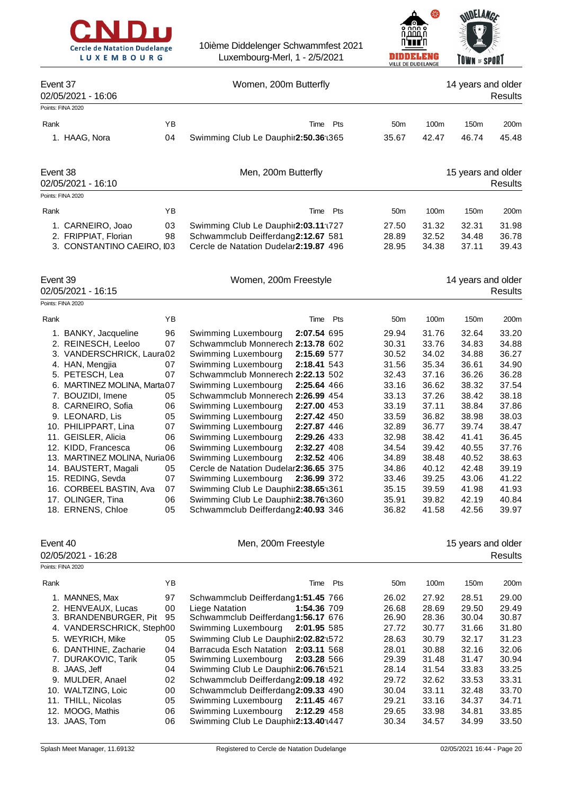



|                                        |          |                                                                           |                 | <b>VILLE DE DUDELANGE</b> |                    |                |
|----------------------------------------|----------|---------------------------------------------------------------------------|-----------------|---------------------------|--------------------|----------------|
| Event 37<br>02/05/2021 - 16:06         |          | Women, 200m Butterfly                                                     |                 |                           | 14 years and older | <b>Results</b> |
| Points: FINA 2020                      |          |                                                                           |                 |                           |                    |                |
| Rank                                   | YB       | Pts<br>Time                                                               | 50 <sub>m</sub> | 100m                      | 150m               | 200m           |
| 1. HAAG, Nora                          | 04       | Swimming Club Le Dauphir2:50.36 1365                                      | 35.67           | 42.47                     | 46.74              | 45.48          |
|                                        |          |                                                                           |                 |                           |                    |                |
| Event 38<br>02/05/2021 - 16:10         |          | Men, 200m Butterfly                                                       |                 |                           | 15 years and older | <b>Results</b> |
| Points: FINA 2020                      |          |                                                                           |                 |                           |                    |                |
| Rank                                   | YB       | Time Pts                                                                  | 50 <sub>m</sub> | 100m                      | 150m               | 200m           |
| 1. CARNEIRO, Joao                      | 03       | Swimming Club Le Dauphir2:03.11 1727                                      | 27.50           | 31.32                     | 32.31              | 31.98          |
| 2. FRIPPIAT, Florian                   | 98       | Schwammclub Deifferdang2:12.67 581                                        | 28.89           | 32.52                     | 34.48              | 36.78          |
| 3. CONSTANTINO CAEIRO, I03             |          | Cercle de Natation Dudelar2:19.87 496                                     | 28.95           | 34.38                     | 37.11              | 39.43          |
| Event 39<br>02/05/2021 - 16:15         |          | Women, 200m Freestyle                                                     |                 |                           | 14 years and older | <b>Results</b> |
| Points: FINA 2020                      |          |                                                                           |                 |                           |                    |                |
| Rank                                   | YB       | Pts<br>Time                                                               | 50 <sub>m</sub> | 100m                      | 150m               | 200m           |
| 1. BANKY, Jacqueline                   | 96       | Swimming Luxembourg<br>2:07.54 695                                        | 29.94           | 31.76                     | 32.64              | 33.20          |
| 2. REINESCH, Leeloo                    | 07       | Schwammclub Monnerech 2:13.78 602                                         | 30.31           | 33.76                     | 34.83              | 34.88          |
| 3. VANDERSCHRICK, Laura02              |          | Swimming Luxembourg<br>2:15.69 577                                        | 30.52           | 34.02                     | 34.88              | 36.27          |
| 4. HAN, Mengjia                        | 07       | Swimming Luxembourg<br>2:18.41 543                                        | 31.56           | 35.34                     | 36.61              | 34.90          |
| 5. PETESCH, Lea                        | 07       | Schwammclub Monnerech 2:22.13 502                                         | 32.43           | 37.16                     | 36.26              | 36.28          |
| 6. MARTINEZ MOLINA, Marta07            |          | 2:25.64 466<br>Swimming Luxembourg                                        | 33.16           | 36.62                     | 38.32              | 37.54          |
| 7. BOUZIDI, Imene                      | 05       | Schwammclub Monnerech 2:26.99 454                                         | 33.13           | 37.26                     | 38.42              | 38.18          |
| 8. CARNEIRO, Sofia                     | 06       | Swimming Luxembourg<br>2:27.00 453                                        | 33.19           | 37.11                     | 38.84              | 37.86          |
| 9. LEONARD, Lis                        | 05       | Swimming Luxembourg<br>2:27.42 450                                        | 33.59           | 36.82                     | 38.98              | 38.03          |
| 10. PHILIPPART, Lina                   | 07       | Swimming Luxembourg<br>2:27.87 446                                        | 32.89           | 36.77                     | 39.74              | 38.47          |
| 11. GEISLER, Alicia                    | 06       | Swimming Luxembourg<br>2:29.26 433                                        | 32.98           | 38.42                     | 41.41              | 36.45          |
| 12. KIDD, Francesca                    | 06       | Swimming Luxembourg<br>2:32.27 408                                        | 34.54           | 39.42                     | 40.55              | 37.76          |
| 13. MARTINEZ MOLINA, Nuria06           |          | Swimming Luxembourg<br>2:32.52 406                                        | 34.89           | 38.48                     | 40.52              | 38.63          |
| 14. BAUSTERT, Magali                   | 05       | Cercle de Natation Dudelar2:36.65 375                                     | 34.86           | 40.12                     | 42.48              | 39.19          |
| 15. REDING, Sevda                      | 07       | Swimming Luxembourg<br>2:36.99 372                                        | 33.46           | 39.25                     | 43.06              | 41.22          |
| 16. CORBEEL BASTIN, Ava                | 07       | Swimming Club Le Dauphir2:38.65 : 361                                     | 35.15           | 39.59                     | 41.98              | 41.93          |
| 17. OLINGER, Tina                      | 06       | Swimming Club Le Dauphir2:38.76 : 360                                     | 35.91           | 39.82                     | 42.19              | 40.84          |
| 18. ERNENS, Chloe                      | 05       | Schwammclub Deifferdang2:40.93 346                                        | 36.82           | 41.58                     | 42.56              | 39.97          |
| Event 40                               |          | Men, 200m Freestyle                                                       |                 |                           | 15 years and older |                |
| 02/05/2021 - 16:28                     |          |                                                                           |                 |                           |                    | <b>Results</b> |
| Points: FINA 2020                      |          |                                                                           |                 |                           |                    |                |
| Rank                                   | YB       | Pts<br>Time                                                               | 50 <sub>m</sub> | 100m                      | 150m               | 200m           |
| 1. MANNES, Max                         | 97       | Schwammclub Deifferdang1:51.45 766                                        | 26.02           | 27.92                     | 28.51              | 29.00          |
| 2. HENVEAUX, Lucas                     | 00       | Liege Natation<br>1:54.36 709                                             | 26.68           | 28.69                     | 29.50              | 29.49          |
| 3. BRANDENBURGER, Pit                  | 95       | Schwammclub Deifferdang1:56.17 676                                        | 26.90           | 28.36                     | 30.04              | 30.87          |
| 4. VANDERSCHRICK, Steph00              |          | Swimming Luxembourg<br>2:01.95 585                                        | 27.72           | 30.77                     | 31.66              | 31.80          |
| 5. WEYRICH, Mike                       | 05       | Swimming Club Le Dauphir2:02.82 1572                                      | 28.63           | 30.79                     | 32.17              | 31.23          |
| 6. DANTHINE, Zacharie                  | 04       | Barracuda Esch Natation<br>2:03.11 568                                    | 28.01           | 30.88                     | 32.16              | 32.06          |
| 7. DURAKOVIC, Tarik                    | 05       | Swimming Luxembourg<br>2:03.28 566                                        | 29.39           | 31.48                     | 31.47              | 30.94<br>33.25 |
| 8. JAAS, Jeff                          | 04<br>02 | Swimming Club Le Dauphir2:06.76:521<br>Schwammclub Deifferdang2:09.18 492 | 28.14<br>29.72  | 31.54<br>32.62            | 33.83<br>33.53     | 33.31          |
| 9. MULDER, Anael<br>10. WALTZING, Loic | 00       | Schwammclub Deifferdang2:09.33 490                                        | 30.04           | 33.11                     | 32.48              | 33.70          |
| 11. THILL, Nicolas                     | 05       | Swimming Luxembourg<br>2:11.45 467                                        | 29.21           | 33.16                     | 34.37              | 34.71          |
| 12. MOOG, Mathis                       | 06       | Swimming Luxembourg<br>2:12.29 458                                        | 29.65           | 33.98                     | 34.81              | 33.85          |
| 13. JAAS, Tom                          | 06       | Swimming Club Le Dauphir2:13.40 1447                                      | 30.34           | 34.57                     | 34.99              | 33.50          |
|                                        |          |                                                                           |                 |                           |                    |                |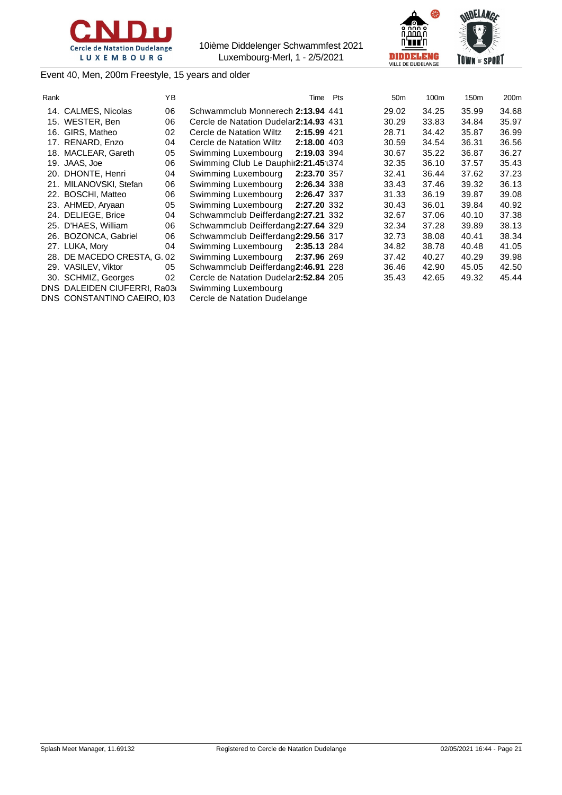





Event 40, Men, 200m Freestyle, 15 years and older

| Rank |                             | ΥB | Time                                    | Pts | 50 <sub>m</sub> | 100m  | 150m  | 200m  |
|------|-----------------------------|----|-----------------------------------------|-----|-----------------|-------|-------|-------|
|      | 14. CALMES, Nicolas         | 06 | Schwammclub Monnerech 2:13.94 441       |     | 29.02           | 34.25 | 35.99 | 34.68 |
|      | 15. WESTER, Ben             | 06 | Cercle de Natation Dudelar 2:14.93 431  |     | 30.29           | 33.83 | 34.84 | 35.97 |
|      | 16. GIRS, Matheo            | 02 | 2:15.99 421<br>Cercle de Natation Wiltz |     | 28.71           | 34.42 | 35.87 | 36.99 |
|      | 17. RENARD, Enzo            | 04 | Cercle de Natation Wiltz<br>2:18.00 403 |     | 30.59           | 34.54 | 36.31 | 36.56 |
|      | 18. MACLEAR, Gareth         | 05 | 2:19.03 394<br>Swimming Luxembourg      |     | 30.67           | 35.22 | 36.87 | 36.27 |
|      | 19. JAAS, Joe               | 06 | Swimming Club Le Dauphir2:21.45:1374    |     | 32.35           | 36.10 | 37.57 | 35.43 |
|      | 20. DHONTE, Henri           | 04 | Swimming Luxembourg<br>2:23.70 357      |     | 32.41           | 36.44 | 37.62 | 37.23 |
|      | 21. MILANOVSKI, Stefan      | 06 | Swimming Luxembourg<br>2:26.34 338      |     | 33.43           | 37.46 | 39.32 | 36.13 |
|      | 22. BOSCHI, Matteo          | 06 | Swimming Luxembourg<br>2:26.47 337      |     | 31.33           | 36.19 | 39.87 | 39.08 |
|      | 23. AHMED, Aryaan           | 05 | Swimming Luxembourg<br>2:27.20 332      |     | 30.43           | 36.01 | 39.84 | 40.92 |
|      | 24. DELIEGE, Brice          | 04 | Schwammclub Deifferdang2:27.21 332      |     | 32.67           | 37.06 | 40.10 | 37.38 |
|      | 25. D'HAES, William         | 06 | Schwammclub Deifferdang2:27.64 329      |     | 32.34           | 37.28 | 39.89 | 38.13 |
|      | 26. BOZONCA, Gabriel        | 06 | Schwammclub Deifferdang2:29.56 317      |     | 32.73           | 38.08 | 40.41 | 38.34 |
|      | 27. LUKA, Mory              | 04 | Swimming Luxembourg<br>2:35.13 284      |     | 34.82           | 38.78 | 40.48 | 41.05 |
|      | 28. DE MACEDO CRESTA, G. 02 |    | Swimming Luxembourg<br>2:37.96 269      |     | 37.42           | 40.27 | 40.29 | 39.98 |
|      | 29. VASILEV, Viktor         | 05 | Schwammclub Deifferdang2:46.91 228      |     | 36.46           | 42.90 | 45.05 | 42.50 |
|      | 30. SCHMIZ, Georges         | 02 | Cercle de Natation Dudelar 2:52.84 205  |     | 35.43           | 42.65 | 49.32 | 45.44 |
|      | DNS DALEIDEN CIUFERRI, Ra03 |    | Swimming Luxembourg                     |     |                 |       |       |       |
|      | DNS CONSTANTINO CAEIRO, 103 |    | Cercle de Natation Dudelange            |     |                 |       |       |       |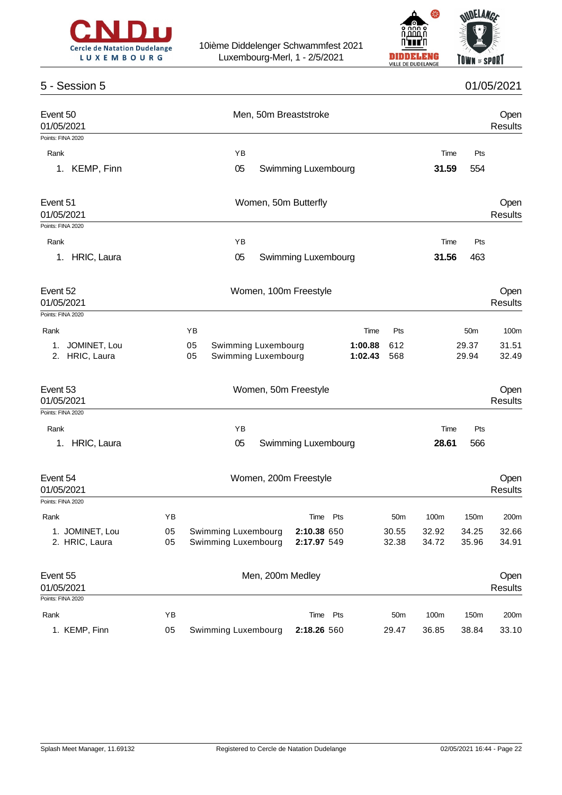



## 5 - Session 5 01/05/2021

| Event 50<br>01/05/2021<br>Points: FINA 2020                 |                                                        | Men, 50m Breaststroke              |      |                                   |                        |                        | Open<br><b>Results</b> |
|-------------------------------------------------------------|--------------------------------------------------------|------------------------------------|------|-----------------------------------|------------------------|------------------------|------------------------|
|                                                             |                                                        |                                    |      |                                   |                        |                        |                        |
| Rank<br>KEMP, Finn<br>1.                                    | ΥB<br>05                                               | Swimming Luxembourg                |      |                                   | Time<br>31.59          | Pts<br>554             |                        |
| Event 51<br>01/05/2021<br>Points: FINA 2020                 | Women, 50m Butterfly                                   |                                    |      | Open<br><b>Results</b>            |                        |                        |                        |
|                                                             | YB                                                     |                                    |      |                                   |                        | Pts                    |                        |
| Rank<br>HRIC, Laura<br>1.                                   | 05                                                     | Swimming Luxembourg                |      |                                   | Time<br>31.56          | 463                    |                        |
| Event 52<br>01/05/2021<br>Points: FINA 2020                 |                                                        | Women, 100m Freestyle              |      |                                   |                        |                        | Open<br><b>Results</b> |
| Rank                                                        | YB                                                     |                                    | Time | Pts                               |                        | 50 <sub>m</sub>        | 100m                   |
| JOMINET, Lou<br>1.<br>HRIC, Laura<br>2.                     | Swimming Luxembourg<br>05<br>05<br>Swimming Luxembourg | 29.37<br>29.94                     |      | 31.51<br>32.49                    |                        |                        |                        |
| Event 53<br>01/05/2021                                      |                                                        | Women, 50m Freestyle               |      |                                   |                        |                        | Open<br><b>Results</b> |
| Points: FINA 2020                                           |                                                        |                                    |      |                                   |                        |                        |                        |
| Rank                                                        | YB                                                     |                                    |      |                                   | Time                   | Pts                    |                        |
| HRIC, Laura<br>1.                                           | 05                                                     | Swimming Luxembourg                |      |                                   | 28.61                  | 566                    |                        |
| Event 54<br>01/05/2021                                      | Women, 200m Freestyle                                  |                                    |      | Open<br><b>Results</b>            |                        |                        |                        |
| Points: FINA 2020                                           |                                                        |                                    |      |                                   |                        |                        |                        |
| ΥB<br>Rank<br>1. JOMINET, Lou<br>05<br>2. HRIC, Laura<br>05 | Swimming Luxembourg<br>Swimming Luxembourg             | Time<br>2:10.38 650<br>2:17.97 549 | Pts  | 50 <sub>m</sub><br>30.55<br>32.38 | 100m<br>32.92<br>34.72 | 150m<br>34.25<br>35.96 | 200m<br>32.66<br>34.91 |
| Event 55<br>01/05/2021<br>Points: FINA 2020                 | Men, 200m Medley                                       |                                    |      |                                   |                        |                        | Open<br>Results        |
| Rank<br>ΥB                                                  |                                                        | Time Pts                           |      | 50 <sub>m</sub>                   | 100m                   | 150m                   |                        |
| 1. KEMP, Finn<br>05                                         | Swimming Luxembourg                                    | 2:18.26 560                        |      | 29.47                             | 36.85                  | 38.84                  | 200m<br>33.10          |